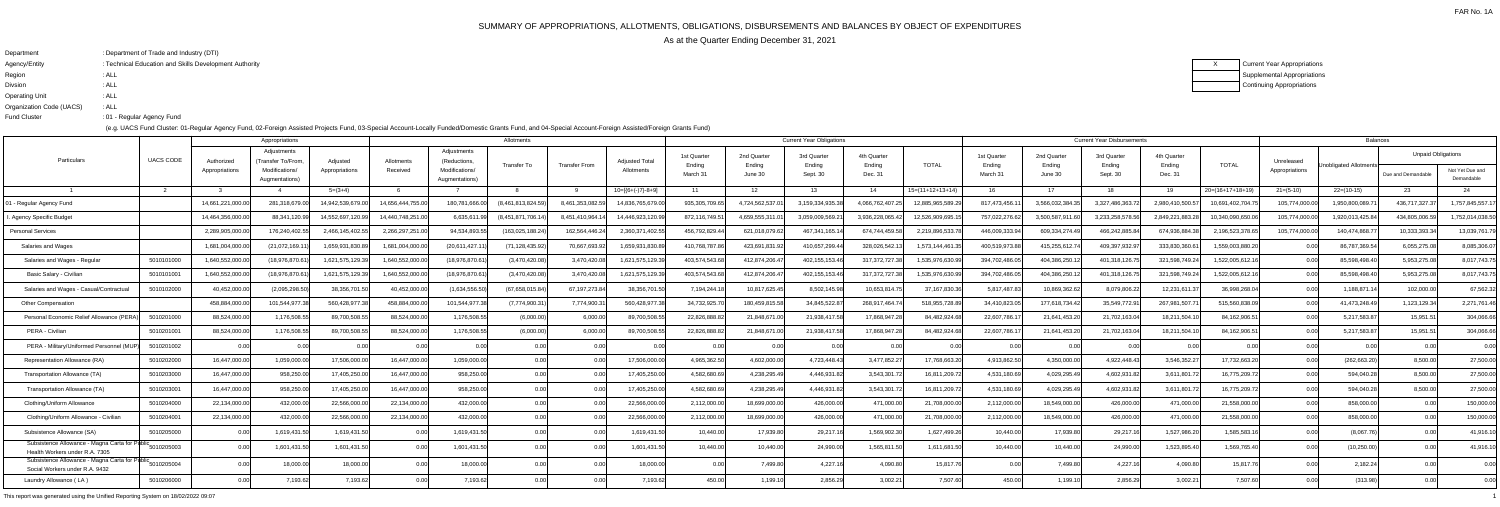FAR No. 1A

- 
- 
- 

# SUMMARY OF APPROPRIATIONS, ALLOTMENTS, OBLIGATIONS, DISBURSEMENTS AND BALANCES BY OBJECT OF EXPENDITURES

As at the Quarter Ending December 31, 2021

XCurrent Year Appropriations Supplemental AppropriationsContinuing Appropriations

| : Department of Trade and Industry (DTI)               |
|--------------------------------------------------------|
| : Technical Education and Skills Development Authority |
| : ALL                                                  |
| : ALL                                                  |
| : ALL                                                  |
| : ALL                                                  |
| :01 - Regular Agency Fund                              |
|                                                        |

(e.g. UACS Fund Cluster: 01-Regular Agency Fund, 02-Foreign Assisted Projects Fund, 03-Special Account-Locally Funded/Domestic Grants Fund, and 04-Special Account-Foreign Assisted/Foreign Grants Fund)

|                                                                                  |                  |                              | Appropriations                                                       |                            |                        |                                                                | Allotments         |                 |                                     |                                   |                                  | <b>Current Year Obligations</b>   |                                  |                    |                                   |                                  | <b>Current Year Disbursements</b> |                                  |                    |                              | <b>Balances</b>        |                                                 |                               |
|----------------------------------------------------------------------------------|------------------|------------------------------|----------------------------------------------------------------------|----------------------------|------------------------|----------------------------------------------------------------|--------------------|-----------------|-------------------------------------|-----------------------------------|----------------------------------|-----------------------------------|----------------------------------|--------------------|-----------------------------------|----------------------------------|-----------------------------------|----------------------------------|--------------------|------------------------------|------------------------|-------------------------------------------------|-------------------------------|
| Particulars                                                                      | <b>UACS CODE</b> | Authorized<br>Appropriations | Adjustments<br>Transfer To/From.<br>Modifications/<br>Augmentations) | Adjusted<br>Appropriations | Allotments<br>Received | Adjustments<br>(Reductions<br>Modifications/<br>Augmentations) | <b>Transfer To</b> | Transfer From   | <b>Adjusted Total</b><br>Allotments | 1st Quarter<br>Ending<br>March 31 | 2nd Quarter<br>Ending<br>June 30 | 3rd Quarter<br>Ending<br>Sept. 30 | 4th Quarter<br>Ending<br>Dec. 31 | <b>TOTAL</b>       | 1st Quarter<br>Ending<br>March 31 | 2nd Quarter<br>Ending<br>June 30 | 3rd Quarter<br>Ending<br>Sept. 30 | 4th Quarter<br>Ending<br>Dec. 31 | <b>TOTAL</b>       | Unreleased<br>Appropriations | Jnobligated Allotments | <b>Unpaid Obligations</b><br>Due and Demandable | Not Yet Due and<br>Demandable |
|                                                                                  |                  |                              |                                                                      | $5=(3+4)$                  |                        |                                                                |                    |                 | $10=[{6+(-)}7-8+9]$                 | - 11                              | 12 <sup>1</sup>                  | 13 <sup>1</sup>                   | -14                              | $15=(11+12+13+14)$ | -16                               | 17                               | 18                                | 19                               | $20=(16+17+18+19)$ | $21=(5-10)$                  | $22=(10-15)$           | 23                                              | 24                            |
| 1 - Regular Agency Fund                                                          |                  | 14,661,221,000.0             | 281,318,679.0                                                        | 14,942,539,679.            | 14,656,444,755.00      | 180,781,666.00                                                 | (8,461,813,824.59  | 8,461,353,082.  | 14,836,765,679.00                   | 935, 305, 709.6                   | 4,724,562,537.                   | 3,159,334,935.38                  | 4,066,762,407.2                  | 12,885,965,589.29  | 817,473,456.1                     | 3,566,032,384.3                  | 3,327,486,363.7                   | 2,980,410,500.5                  | 10,691,402,704.75  | 105,774,000.00               | 1,950,800,089.7        | 436,717,327.37                                  | 1,757,845,557.1               |
| Agency Specific Budget                                                           |                  | 14,464,356,000.              | 88,341,120.9                                                         | 14,552,697,120             | 14,440,748,251.0       | 6,635,611.                                                     | (8,451,871,706.    | 8,451,410,964.  | 14,446,923,120.99                   | 872,116,749.5                     | 4,659,555,311.                   | 3,059,009,569.2                   | 3,936,228,065.4                  | 12,526,909,695.1   | 757,022,276.62                    | 3,500,587,911.6                  | 3,233,258,578.5                   | 2,849,221,883.2                  | 0.340.090.650.06   | 105,774,000.00               | 1,920,013,425.84       | 434,805,006.                                    | 1,752,014,038.50              |
| Personal Services                                                                |                  | 2,289,905,000.0              | 176,240,402.5                                                        | 2,466,145,402.5            | 2,266,297,251.00       | 94,534,893.5                                                   | (163, 025, 188.24) | 162,564,446.24  | 2,360,371,402.55                    | 456,792,829.4                     | 621,018,079.62                   | 467,341,165.1                     | 674,744,459.58                   | 2,219,896,533.7    | 446,009,333.94                    | 609,334,274.49                   | 466,242,885.84                    | 674,936,884.3                    | 2,196,523,378.65   | 105,774,000.00               | 140,474,868.77         | 10,333,393.34                                   | 13,039,761.79                 |
| Salaries and Wages                                                               |                  | 1,681,004,000.0              | (21,072,169.1                                                        | 1,659,931,830.             | 1,681,004,000.0        | (20,611,427.1                                                  | (71,128,435.92     | 70,667,693.9    | 1,659,931,830.8                     | 410,768,787.                      | 423,691,831.9                    | 410,657,299.4                     | 328,026,542.                     | 1,573,144,461.3    | 400,519,973.88                    | 415,255,612.7                    | 409,397,932.9                     | 333,830,360.                     | 1.559.003.880.20   |                              | 86,787,369.54          | 6,055,275.08                                    | 8,085,306.07                  |
| Salaries and Wages - Regular                                                     | 5010101000       | 1,640,552,000.0              | (18,976,870.6)                                                       | 1,621,575,129.3            | 1,640,552,000.00       | (18,976,870.61                                                 | (3,470,420.08)     | 3,470,420.08    | 1,621,575,129.39                    | 403.574.543.6                     | 412,874,206.47                   | 402,155,153.46                    | 317,372,727.38                   | 1,535,976,630.99   | 394,702,486.05                    | 404,386,250.12                   | 401,318,126.7                     | 321,598,749.24                   | 1,522,005,612.16   | 0.00                         | 85,598,498.40          | 5,953,275.08                                    | 8,017,743.75                  |
| Basic Salary - Civilian                                                          | 5010101001       | 1,640,552,000.               | (18,976,870.6                                                        | 1,621,575,129.3            | 1,640,552,000.0        | (18,976,870.6)                                                 | (3,470,420.08)     | 3,470,420.0     | 1,621,575,129.3                     | 403,574,543.6                     | 412,874,206.47                   | 402,155,153.46                    | 317,372,727.3                    | 1,535,976,630.9    | 394,702,486.05                    | 404,386,250.1                    | 401,318,126.7                     | 321,598,749.24                   | 1,522,005,612.16   | 0.00                         | 85,598,498.40          | 5,953,275.08                                    | 8,017,743.75                  |
| Salaries and Wages - Casual/Contractual                                          | 5010102000       | 40,452,000.0                 | (2,095,298.5)                                                        | 38,356,701.5               | 40,452,000.00          | (1,634,556.50)                                                 | (67,658,015.84)    | 67, 197, 273.84 | 38,356,701.50                       | 7,194,244.                        | 10,817,625.45                    | 8,502,145.98                      | 10,653,814.7                     | 37,167,830.36      | 5,817,487.83                      | 10,869,362.6                     | 8,079,806.22                      | 12,231,611.37                    | 36,998,268.04      | 0.00                         | 1,188,871.14           | 102,000.00                                      | 67,562.32                     |
| <b>Other Compensation</b>                                                        |                  | 458,884,000.0                | 101,544,977.3                                                        | 560,428,977                | 458,884,000.00         | 101,544,977.                                                   | (7,774,900.3)      | 7,774,900.3     | 560,428,977.3                       | 34,732,925.                       | 180,459,815.58                   | 34,845,522.8                      | 268,917,464.7                    | 518,955,728.8      | 34,410,823.0                      | 177,618,734.42                   | 35,549,772.9                      | 267,981,507.7                    | 515,560,838.09     | 0.00                         | 41,473,248.49          | 1,123,129.34                                    | 2,271,761.46                  |
| Personal Economic Relief Allowance (PERA                                         | 5010201000       | 88,524,000.0                 | 1,176,508.5                                                          | 89,700,508.5               | 88,524,000.00          | 1,176,508.5                                                    | (6,000.00)         | 6,000.00        | 89,700,508.55                       | 22,826,888.8                      | 21,848,671.00                    | 21,938,417.58                     | 17,868,947.2                     | 84,482,924.68      | 22,607,786.17                     | 21,641,453.20                    | 21,702,163.04                     | 18,211,504.1                     | 84,162,906.5       | 0.00                         | 5,217,583.87           | 15,951.51                                       | 304,066.66                    |
| PERA - Civilian                                                                  | 5010201001       | 88,524,000.0                 | 1,176,508.5                                                          | 89,700,508.5               | 88,524,000.00          | 1,176,508.5                                                    | (6,000.00)         | 6,000.00        | 89,700,508.55                       | 22,826,888.8                      | 21,848,671.00                    | 21.938.417.58                     | 17.868.947.2                     | 84,482,924.68      | 22,607,786.17                     | 21.641.453.20                    | 21,702,163.04                     | 18,211,504.1                     | 84,162,906.5       | 0.00                         | 5,217,583.87           | 15,951.51                                       | 304,066.66                    |
| PERA - Military/Uniformed Personnel (MI                                          | 5010201002       | 0.00                         |                                                                      |                            |                        | 0.00                                                           | 0.00               | 0.00            | . റ റ                               |                                   | 0.00                             | 0.00                              | 0.0                              | 0.00               | 0.00                              | 0.0                              | 0.00                              | 0.00                             | 0.00               | 0.00                         | 0.00                   | 0.00                                            | 0.00                          |
| Representation Allowance (RA)                                                    | 5010202000       | 16,447,000.0                 | 1,059,000.0                                                          | 17,506,000.                | 16,447,000.0           | 1,059,000.00                                                   | 0.00               |                 | 17,506,000.0                        | 4,965,362.5                       | 4,602,000.00                     | 4,723,448.43                      | 3,477,852.2                      | 17.768.663.2       | 4,913,862.50                      | 4.350.000.0                      | 4,922,448.43                      | 3,546,352.2                      | 17,732,663.20      | 0.00                         | (262, 663.20)          | 8,500.00                                        | 27,500.00                     |
| Transportation Allowance (TA)                                                    | 5010203000       | 16,447,000.0                 | 958,250.0                                                            | 17,405,250.0               | 16,447,000.00          | 958,250.00                                                     | 0.00               |                 | 17,405,250.0                        | 4,582,680.6                       | 4,238,295.49                     | 4,446,931.82                      | 3,543,301.7                      | 16,811,209.72      | 4,531,180.69                      | 4,029,295.49                     | 4,602,931.82                      | 3,611,801.7                      | 16,775,209.72      | 0.00                         | 594,040.28             | 8,500.00                                        | 27,500.00                     |
| Transportation Allowance (TA)                                                    | 5010203001       | 16,447,000.0                 | 958,250.0                                                            | 17,405,250.0               | 16,447,000.00          | 958,250.00                                                     | 0.00               |                 | 17,405,250.0                        | 4,582,680.6                       | 4,238,295.49                     | 4,446,931.82                      | 3,543,301.7                      | 16,811,209.7       | 4,531,180.69                      | 4,029,295.4                      | 4,602,931.8                       | 3,611,801.7                      | 16,775,209.72      | 0.00                         | 594,040.28             | 8,500.00                                        | 27,500.00                     |
| Clothing/Uniform Allowance                                                       | 5010204000       | 22,134,000.0                 | 432,000.0                                                            | 22,566,000.0               | 22,134,000.00          | 432,000.00                                                     | 0.00               |                 | 22,566,000.0                        | 2,112,000.0                       | 18,699,000.00                    | 426,000.00                        | 471,000.00                       | 21,708,000.00      | 2,112,000.00                      | 18,549,000.0                     | 426,000.00                        | 471,000.00                       | 21,558,000.00      | 0.00                         | 858,000.00             | 0.00                                            | 150,000.00                    |
| Clothing/Uniform Allowance - Civilian                                            | 5010204001       | 22,134,000.0                 | 432,000.0                                                            | 22,566,000.0               | 22,134,000.00          | 432,000.00                                                     | 0.00               |                 | 22,566,000.0                        | 2,112,000.0                       | 18,699,000.0                     | 426,000.00                        | 471,000.00                       | 21,708,000.00      | 2,112,000.00                      | 18,549,000.0                     | 426,000.00                        | 471,000.00                       | 21,558,000.00      | 0.00                         | 858,000.00             | 0.00                                            | 150,000.00                    |
| Subsistence Allowance (SA)                                                       | 5010205000       |                              | 1,619,431.                                                           | 1,619,431.5                | 0.00                   | 1,619,431.50                                                   | 0.00               | 0.00            | 1,619,431.5                         | 10,440.0                          | 17,939.80                        | 29,217.16                         | 1,569,902.30                     | 1,627,499.26       | 10,440.00                         | 17,939.80                        | 29,217.1                          | 1,527,986.20                     | 1,585,583.16       | 0.00                         | (8,067.76)             | 0.00                                            | 41,916.10                     |
| Subsistence Allowance - Magna Carta for Public<br>Health Workers under R.A. 7305 | 5010205003       |                              | 1,601,431.5                                                          | 1,601,431.5                | 0.00 <sub>l</sub>      | 1,601,431.50                                                   | 0.00               | 0.00            | 1,601,431.50                        | 10.440.0                          | 10,440.00                        | 24,990.00                         | 1,565,811.50                     | 1,611,681.50       | 10.440.00                         | 10.440.0                         | 24,990.00                         | 1,523,895.4                      | 1,569,765.40       | 0.00                         | (10, 250.00)           | 0.00                                            | 41,916.10                     |
| Subsistence Allowance - Magna Carta for Public<br>Social Workers under R.A. 943. | 5010205004       |                              | 18,000.0                                                             | 18,000.0                   |                        | 18,000.00                                                      | 0.00               |                 | 18,000.0                            |                                   | 7,499.8                          | 4,227.1                           | 4,090.80                         | 15,817.7           | 0.00                              | 7,499.80                         | 4,227.1                           | 4,090.8                          | 15,817.76          |                              | 2,182.24               |                                                 | 0.00                          |
| Laundry Allowance (LA)                                                           | 5010206000       | 0.00                         | 7,193.62                                                             | 7.193.62                   | 0.00                   | 7,193.62                                                       | 0.00               | 0.00            | 7,193.62                            | 450.00                            | 1,199.10                         | 2,856.29                          | 3,002.21                         | 7.507.60           | 450.00                            | 1,199.10                         | 2,856.29                          | 3,002.2                          | 7,507.60           | 0.00                         | (313.98)               | 0.00 <sub>l</sub>                               | 0.00                          |
|                                                                                  |                  |                              |                                                                      |                            |                        |                                                                |                    |                 |                                     |                                   |                                  |                                   |                                  |                    |                                   |                                  |                                   |                                  |                    |                              |                        |                                                 |                               |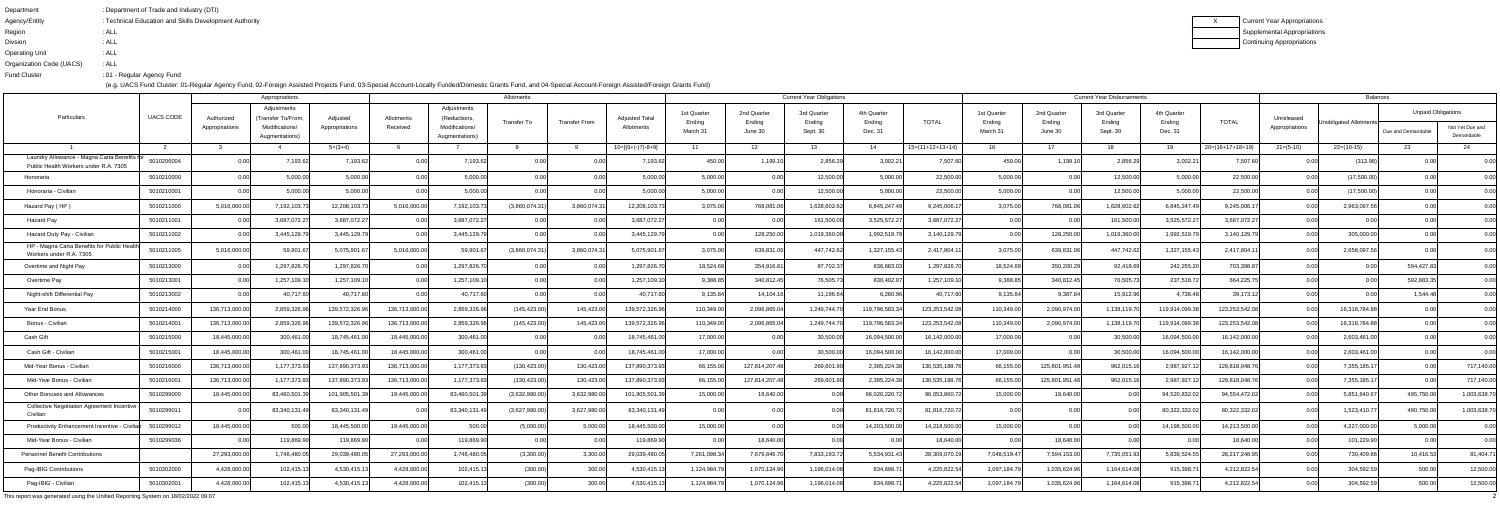| : Department of Trade and Industry (DTI)               |
|--------------------------------------------------------|
| : Technical Education and Skills Development Authority |
| : ALL                                                  |
| : ALL                                                  |
| : ALL                                                  |
| : ALL                                                  |
| :01 - Regular Agency Fund                              |
|                                                        |

|                                                                                      |                  |                              | Appropriations                                                        |                            |                        |                                                                | Allotments                           |                      |                                     |                                   |                                  | <b>Current Year Obligations</b>   |                                  |                               |                                   |                                  | <b>Current Year Disbursements</b> |                                  |                    |                              | <b>Balances</b>        |                                                 |                               |
|--------------------------------------------------------------------------------------|------------------|------------------------------|-----------------------------------------------------------------------|----------------------------|------------------------|----------------------------------------------------------------|--------------------------------------|----------------------|-------------------------------------|-----------------------------------|----------------------------------|-----------------------------------|----------------------------------|-------------------------------|-----------------------------------|----------------------------------|-----------------------------------|----------------------------------|--------------------|------------------------------|------------------------|-------------------------------------------------|-------------------------------|
| Particulars                                                                          | <b>UACS CODE</b> | Authorized<br>Appropriations | Adjustments<br>(Transfer To/From,<br>Modifications/<br>Augmentations) | Adjusted<br>Appropriations | Allotments<br>Received | Adjustments<br>(Reductions<br>Modifications/<br>Augmentations) | Transfer To                          | <b>Transfer From</b> | <b>Adjusted Total</b><br>Allotments | 1st Quarter<br>Ending<br>March 31 | 2nd Quarter<br>Ending<br>June 30 | 3rd Quarter<br>Ending<br>Sept. 30 | 4th Quarter<br>Ending<br>Dec. 31 | <b>TOTAL</b>                  | 1st Quarter<br>Ending<br>March 31 | 2nd Quarter<br>Ending<br>June 30 | 3rd Quarter<br>Ending<br>Sept. 30 | 4th Quarter<br>Ending<br>Dec. 31 | <b>TOTAL</b>       | Unreleased<br>Appropriations | Unobligated Allotments | <b>Unpaid Obligations</b><br>Due and Demandable | Not Yet Due and<br>Demandable |
|                                                                                      |                  |                              |                                                                       | $5=(3+4)$                  |                        |                                                                |                                      |                      | $10=[{6+(-)}7-8+9]$                 | - 11                              | 12                               | 13                                | -14                              | $15=(11+12+13+14)$            | 16                                | 17                               | 18                                | 19                               | $20=(16+17+18+19)$ | $21 = (5-10)$                | $22=(10-15)$           | 23                                              | -24                           |
| Laundry Allowance - Magna Carta Benefits fr<br>Public Health Workers under R.A. 7305 | 5010206004       |                              | 7,193.62                                                              | 7,193.6                    |                        | 7,193.62                                                       |                                      |                      | 7,193.62                            | 450.0                             | 1,199.1                          | 2,856.29                          | 3,002.21                         | 7,507.60                      | 450.00                            | 1,199.1                          | 2,856.29                          | 3,002.2                          | 7,507.60           |                              | (313.98)               |                                                 |                               |
| Honoraria                                                                            | 5010210000       | 0.00                         | 5,000.00                                                              | 5,000.0                    |                        | 5,000.00                                                       | 0.00                                 |                      | 5,000.00                            | 5,000.00                          |                                  | 12,500.00                         | 5,000.00                         | 22,500.00                     | 5,000.00                          | 0.00                             | 12,500.00                         | 5,000.00                         | 22,500.00          | 0.00                         | (17,500.00)            |                                                 | 0.00                          |
| Honoraria - Civilian                                                                 | 5010210001       |                              | 5,000.00                                                              | 5,000.0                    |                        | 5,000.00                                                       | 0.00                                 |                      | 5,000.00                            | 5,000.00                          |                                  | 12,500.00                         | 5,000.00                         | 22,500.00                     | 5,000.00                          | 0.00                             | 12,500.00                         | 5,000.00                         | 22,500.00          | 0.00                         | (17,500.00)            |                                                 | 0.00                          |
| Hazard Pay (HP)                                                                      | 5010211000       | 5,016,000.00                 | 7,192,103.73                                                          | 12,208,103.7               | 5,016,000.0            | 7,192,103.73                                                   | (3,860,074.31)                       | 3,860,074.3          | 12,208,103.73                       | 3,075.00                          | 768,081.0                        | 1,628,602.6                       | 6,845,247.49                     | 9,245,006.17                  | 3,075.00                          | 768,081.06                       | 1,628,602.62                      | 6,845,247.49                     | 9,245,006.1        |                              | 2,963,097.56           |                                                 | 0.00                          |
| Hazard Pay                                                                           | 5010211001       |                              | 3,687,072.27                                                          | 3,687,072.2                |                        | 3,687,072.27                                                   |                                      |                      | 3,687,072.27                        |                                   |                                  | 161,500.00                        | 3,525,572.27                     | 3,687,072.27                  | 0.00                              |                                  | 161,500.00                        | 3,525,572.27                     | 3,687,072.27       | 0.OO                         |                        |                                                 | 0.00                          |
| Hazard Duty Pay - Civilian                                                           | 5010211002       |                              | 3,445,129.7                                                           | 3,445,129.7                |                        | 3,445,129.7                                                    | 0.00                                 |                      | 3,445,129.79                        |                                   | 128,250.0                        | 1,019,360.00                      | 1,992,519.79                     | 3,140,129.79                  | 0.00                              | 128,250.00                       | 1,019,360.0                       | 1,992,519.7                      | 3,140,129.79       | 0.00                         | 305,000.00             |                                                 | 0.00                          |
| HP - Magna Carta Benefits for Public Health<br>Workers under R.A. 7305               | 5010211005       | 5,016,000.00                 | 59,901.67                                                             | 5,075,901.6                | 5,016,000.00           | 59,901.6                                                       | (3,860,074.31)                       | 3,860,074.3          | 5,075,901.67                        | 3,075.0                           | 639,831.0                        | 447,742.62                        | 1,327,155.43                     | 2,417,804.1                   | 3,075.00                          | 639,831.0                        | 447,742.62                        | 1,327,155.43                     | 2,417,804.1        | 0.OO                         | 2,658,097.56           |                                                 | 0.00                          |
| Overtime and Night Pay                                                               | 5010213000       |                              | 1,297,826.70                                                          | 1,297,826.7                |                        | 1,297,826.70                                                   | 0.00                                 | 0.00                 | 1,297,826.70                        | 18,524.69                         | 354,916.61                       | 87,702.37                         | 836,683.03                       | 1,297,826.70                  | 18,524.69                         | 350,200.29                       | 92,418.69                         | 242,255.20                       | 703,398.87         | 0.00                         | 0.00                   | 594,427.83                                      | 0.00                          |
| Overtime Pay                                                                         | 5010213001       |                              | 1,257,109.1                                                           | 1,257,109.1                |                        | 1,257,109.1                                                    |                                      |                      | 1,257,109.1                         | 9,388.85                          | 340,812.45                       | 76,505.73                         | 830,402.07                       | 1,257,109.10                  | 9,388.85                          | 340,812.45                       | 76,505.73                         | 237,518.7                        | 664,225.75         |                              | 0.00                   | 592,883.35                                      | 0.00                          |
| Night-shift Differential Pay                                                         | 5010213002       |                              | 40,717.60                                                             | 40,717.6                   |                        | 40,717.60                                                      | 0.00                                 |                      | 40,717.60                           | 9,135.84                          | 14,104.1                         | 11,196.64                         | 6,280.96                         | 40,717.60                     | 9,135.84                          | 9,387.84                         | 15,912.96                         | 4,736.48                         | 39,173.12          | 0.00                         |                        | 1,544.48                                        | 0.00                          |
| Year End Bonus                                                                       | 5010214000       | 136,713,000.0                | 2,859,326.96                                                          | 139,572,326.9              | 136,713,000.0          | 2,859,326.96                                                   | (145, 423.00)                        | 145,423.00           | 139,572,326.96                      | 110,349.00                        | 2,096,865.04                     | 1,249,744.70                      | 119,796,583.34                   | 123,253,542.08                | 110,349.00                        | 2,090,974.00                     | 1,138,119.70                      | 119,914,099.3                    | 123,253,542.08     | 0.00                         | 16,318,784.88          |                                                 | 0.00                          |
| Bonus - Civilian                                                                     | 5010214001       | 136,713,000.00               | 2,859,326.96                                                          | 139,572,326.9              | 136,713,000.0          | 2,859,326.96                                                   | (145, 423.00)                        | 145,423.00           | 139,572,326.96                      | 110,349.00                        | 2,096,865.04                     | 1,249,744.70                      | 119,796,583.34                   | 123,253,542.08                | 110,349.00                        | 2,090,974.00                     | 1,138,119.70                      | 119,914,099.3                    | 123,253,542.08     | 0.00                         | 16,318,784.88          |                                                 | 0.00                          |
| Cash Gift                                                                            | 5010215000       | 18,445,000.00                | 300,461.00                                                            | 18,745,461.0               | 18,445,000.0           | 300,461.00                                                     | 0.00                                 |                      | 18,745,461.0                        | 17,000.00                         |                                  | 30,500.00                         | 16,094,500.00                    | 16,142,000.00                 | 17,000.00                         | 0.00                             | 30,500.00                         | 16,094,500.00                    | 16,142,000.00      | 0.00                         | 2,603,461.00           |                                                 | 0.00                          |
| Cash Gift - Civilian                                                                 | 5010215001       | 18,445,000.00                | 300,461.00                                                            | 18,745,461.                | 18,445,000.0           | 300,461.00                                                     | 0.00                                 | 0.00                 | 18,745,461.00                       | 17,000.00                         | 0.00                             | 30,500.00                         | 16,094,500.00                    | 16,142,000.00                 | 17,000.00                         | 0.00                             | 30,500.00                         | 16,094,500.00                    | 16,142,000.00      | 0.00                         | 2,603,461.00           | 0.00 <sub>l</sub>                               | 0.00                          |
| Mid-Year Bonus - Civilian                                                            | 5010216000       | 136,713,000.0                | 1,177,373.93                                                          | 137,890,373.9              | 136,713,000.0          | 1,177,373.93                                                   | (130, 423.00)                        | 130,423.00           | 137,890,373.93                      | 66,155.0                          | 127,814,207.4                    | 269,601.90                        | 2,385,224.38                     | 130,535,188.7                 | 66,155.00                         | 125,801,951.48                   | 962,015.16                        | 2,987,927.1                      | 129,818,048.76     | 0.00                         | 7,355,185.17           | 0.00                                            | 717,140.00                    |
| Mid-Year Bonus - Civilian                                                            | 5010216001       | 136,713,000.00               | 1,177,373.93                                                          | 137,890,373.9              | 136,713,000.0          | 1,177,373.93                                                   | (130, 423.00)                        | 130,423.00           | 137,890,373.93                      | 66,155.00                         | 127,814,207.4                    | 269,601.90                        | 2,385,224.38                     | 130,535,188.7                 | 66,155.00                         | 125,801,951.48                   | 962,015.16                        | 2,987,927.1                      | 129,818,048.76     | 0.00                         | 7,355,185.1            | 0.00                                            | 717,140.00                    |
| Other Bonuses and Allowances                                                         | 5010299000       | 18,445,000.00                | 83,460,501.39                                                         | 101,905,501.3              | 18,445,000.0           | 83,460,501.39                                                  | (3,632,980.00)                       | 3,632,980.00         | 101,905,501.39                      | 15,000.00                         | 18,640.0                         | 0.00                              | 96,020,220.72                    | 96,053,860.72                 | 15,000.00                         | 18,640.00                        | 0.00                              | 94,520,832.0                     | 94,554,472.02      | 0.00                         | 5,851,640.67           | 495,750.00                                      | 1,003,638.70                  |
| Collective Negotiation Agreement Incentive<br>Civilian                               | $-0.0000$        |                              | $\sim, \sim, \sim,$                                                   | 83,340,131                 |                        | $\sim, \sim, \sim,$                                            | (3.627.980.0)<br>$(0, 0 - 1, 0 - 0)$ | 0,02,000             | 83,340,131.                         |                                   |                                  |                                   | 81 816 720 7<br>1,0,0,0,1        | 81.816.720.7<br>0.1,0.10,1.00 | 0.O                               |                                  |                                   | RU 322 332 L                     | 80,322,332.02      |                              | 1.523.410.77<br>.,     | ,,,,,,                                          | 1,003,638.70                  |
| Productivity Enhancement Incentive - Civilian                                        | 5010299012       | 18,445,000.00                | 500.00                                                                | 18,445,500.0               | 18,445,000.00          | 500.00                                                         | (5,000.00)                           | 5,000.00             | 18,445,500.00                       | 15,000.00                         | 0.00                             | 0.00                              | 14,203,500.00                    | 14,218,500.00                 | 15,000.00                         | 0.00                             | 0.00                              | 14,198,500.00                    | 14,213,500.00      | 0.00                         | 4,227,000.00           | 5,000.00                                        | 0.00                          |
| Mid-Year Bonus - Civilian                                                            | 5010299036       | 0.00                         | 119,869.90                                                            | 119,869.90                 |                        | 119,869.90                                                     | 0.00                                 | 0.00                 | 119,869.90                          | 0.0                               | 18,640.00                        | 0.00                              | 0.00                             | 18,640.00                     | 0.00                              | 18,640.00                        | 0.00                              |                                  | 18,640.00          | 0.00                         | 101,229.90             | 0.00                                            | 0.00                          |
| <b>Personnel Benefit Contributions</b>                                               |                  | 27,293,000.00                | 1,746,480.05                                                          | 29,039,480.0               | 27,293,000.00          | 1,746,480.05                                                   | (3,300.00)                           | 3,300.00             | 29,039,480.05                       | 7,261,098.34                      | 7,679,846.70                     | 7,833,193.72                      | 5,534,931.43                     | 28,309,070.19                 | 7,048,519.47                      | 7,594,153.00                     | 7,735,051.93                      | 5,839,524.55                     | 28,217,248.95      | 0.00                         | 730,409.86             | 10,416.53                                       | 81,404.71                     |
| Pag-IBIG Contributions                                                               | 5010302000       | 4,428,000.00                 | 102,415.13                                                            | 4,530,415.                 | 4,428,000.00           | 102,415.13                                                     | (300.00)                             | 300.00               | 4,530,415.13                        | 1,124,984.79                      | 1,070,124.96                     | 1,196,014.08                      | 834,698.7                        | 4,225,822.54                  | 1,097,184.79                      | 1,035,624.96                     | 1,164,614.08                      | 915,398.7                        | 4,212,822.54       | 0.00                         | 304,592.59             | 500.00                                          | 12,500.00                     |
| Pag-IBIG - Civilian                                                                  | 5010302001       | 4,428,000.00                 | 102,415.13                                                            | 4,530,415.                 | 4,428,000.0            | 102,415.13                                                     | (300.00)                             | 300.00               | 4,530,415.13                        | 1,124,984.7                       | 1,070,124.96                     | 1,196,014.08                      | 834,698.7                        | 4,225,822.54                  | 1,097,184.79                      | 1,035,624.96                     | 1,164,614.08                      | 915,398.7                        | 4,212,822.54       | 0.00                         | 304,592.59             | 500.00                                          | 12,500.00                     |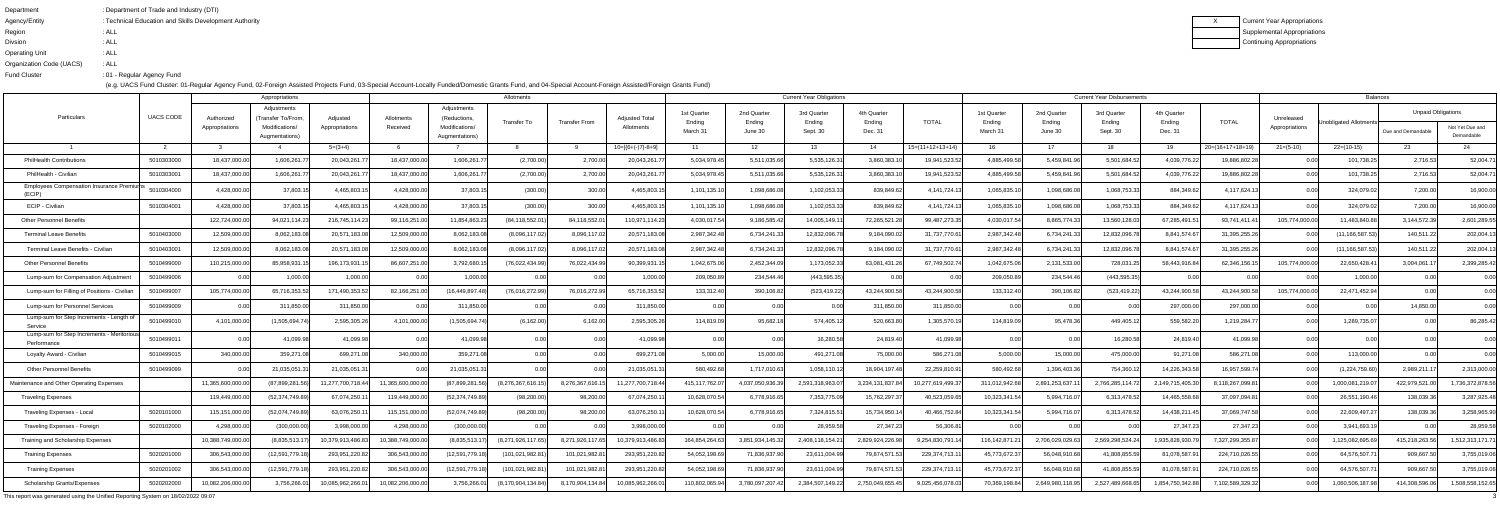| Department               | : Department of Trade and Industry (DTI)               |
|--------------------------|--------------------------------------------------------|
| Agency/Entity            | : Technical Education and Skills Development Authority |
| Region                   | : ALL                                                  |
| <b>Divsion</b>           | : ALL                                                  |
| <b>Operating Unit</b>    | : ALL                                                  |
| Organization Code (UACS) | : ALL                                                  |
| <b>Fund Cluster</b>      | :01 - Regular Agency Fund                              |
|                          |                                                        |

| Appropriations                                             |                  |                              |                                                    |                            |                        |                                              | Allotments            |                      |                                     |                       |                       | <b>Current Year Obligations</b> |                       |                    |                       |                       | <b>Current Year Disbursements</b> |                       |                    |                              | <b>Balances</b>        |                           |                  |
|------------------------------------------------------------|------------------|------------------------------|----------------------------------------------------|----------------------------|------------------------|----------------------------------------------|-----------------------|----------------------|-------------------------------------|-----------------------|-----------------------|---------------------------------|-----------------------|--------------------|-----------------------|-----------------------|-----------------------------------|-----------------------|--------------------|------------------------------|------------------------|---------------------------|------------------|
| Particulars                                                | <b>UACS CODE</b> | Authorized<br>Appropriations | Adjustments<br>(Transfer To/From<br>Modifications/ | Adjusted<br>Appropriations | Allotments<br>Received | Adjustments<br>(Reductions<br>Modifications/ | <b>Transfer To</b>    | <b>Transfer From</b> | <b>Adjusted Total</b><br>Allotments | 1st Quarter<br>Ending | 2nd Quarter<br>Ending | 3rd Quarter<br>Ending           | 4th Quarter<br>Ending | <b>TOTAL</b>       | 1st Quarter<br>Ending | 2nd Quarter<br>Ending | 3rd Quarter<br>Ending             | 4th Quarter<br>Ending | <b>TOTAL</b>       | Unreleased<br>Appropriations | Inobligated Allotments | <b>Unpaid Obligations</b> | Not Yet Due and  |
|                                                            |                  |                              | Augmentations)                                     |                            |                        | Augmentations)                               |                       |                      |                                     | March 31              | June 30               | Sept. 30                        | Dec. 31               |                    | March 31              | June 30               | Sept. 30                          | Dec. 31               |                    |                              |                        | Due and Demandable        | Demandable       |
|                                                            |                  |                              |                                                    | $5=(3+4)$                  |                        |                                              |                       |                      | $10=[6+(-)7]-8+9]$                  |                       | 12                    | 13                              | 14                    | $15=(11+12+13+14)$ | 16                    | 17                    | 1.R                               | 19                    | $20=(16+17+18+19)$ | $21 = (5-10)$                | $22=(10-15)$           | -23.                      | 24               |
| <b>PhilHealth Contributions</b>                            | 5010303000       | 18,437,000.00                | 1,606,261.7                                        | 20,043,261.                | 18,437,000.0           | 1,606,261.                                   | (2,700.00)            | 2,700.00             | 20,043,261.                         | 5,034,978.4           | 5,511,035.6           | 5,535,126.3                     | 3,860,383.1           | 19,941,523.5       | 4,885,499.5           | 5,459,841.            | 5,501,684.5                       | 4,039,776.22          | 19,886,802.28      |                              | 101,738.2              | 2,716.53                  | 52,004.71        |
| PhilHealth - Civilian                                      | 5010303001       | 18,437,000.00                | 1,606,261.7                                        | 20,043,261.                | 18,437,000.0           | 1,606,261.7                                  | (2,700.00)            | 2,700.00             | 20,043,261.                         | 5,034,978.45          | 5,511,035.6           | 5,535,126.3                     | 3,860,383.1           | 19,941,523.52      | 4,885,499.58          | 5,459,841.9           | 5,501,684.52                      | 4,039,776.22          | 19,886,802.28      | 0.00 <sub>l</sub>            | 101,738.25             | 2,716.53                  | 52,004.71        |
| <b>Employees Compensation Insurance Premiums</b><br>(ECIP) | 5010304000       | 4,428,000.00                 | 37,803.1                                           | 4,465,803.                 | 4,428,000.0            | 37,803.1                                     | (300.00)              | 300.00               | 4,465,803.                          | 1,101,135.            | 1,098,686.            | 1,102,053.3                     | 839,849.62            | 4, 141, 724. 1     | 1,065,835.1           | 1.098.686.0           | 1,068,753.3                       | 884,349.62            | 4,117,624.1        |                              | 324,079.02             | 7,200.00                  | 16,900.00        |
| ECIP - Civilian                                            | 5010304001       | 4,428,000.0                  | 37,803.15                                          | 4,465,803.                 | 4,428,000.0            | 37.803.1                                     | (300.00)              | 300.00               | 4,465,803.1                         | 1,101,135.            | 1,098,686.0           | 1,102,053.33                    | 839,849.62            | 4, 141, 724.13     | 1,065,835.1           | 1.098.686.0           | 1,068,753.33                      | 884,349.62            | 4,117,624.13       | 0.001                        | 324,079.02             | 7,200.0                   | 16,900.00        |
| Other Personnel Benefits                                   |                  | 122,724,000.0                | 94,021,114.23                                      | 216,745,114.2              | 99,116,251.0           | 11,854,863.2                                 | (84, 118, 552.0       | 84,118,552.          | 110,971,114.23                      | 4,030,017.5           | 9,186,585.4           | 14,005,149.                     | 72,265,521.2          | 99,487,273.3       | 4,030,017.54          | 8,865,774.3           | 13,560,128.0                      | 67,285,491.5          | 93,741,411.4       | 105,774,000.00               | 11,483,840.8           | 3,144,572.3               | 2,601,289.55     |
| <b>Terminal Leave Benefits</b>                             | 5010403000       | 12,509,000.00                | 8,062,183.08                                       | 20,571,183.0               | 12,509,000.0           | 8,062,183.08                                 | (8,096,117.02)        | 8,096,117.0          | 20,571,183.08                       | 2,987,342.4           | 6,734,241.3           | 12,832,096.7                    | 9,184,090.02          | 31,737,770.61      | 2,987,342.48          | 6,734,241.3           | 12,832,096.7                      | 8,841,574.67          | 31,395,255.26      | 0.00                         | (11, 166, 587.53)      | 140,511.22                | 202,004.13       |
| Terminal Leave Benefits - Civilian                         | 5010403001       | 12,509,000.0                 | 8,062,183.08                                       | 20,571,183.0               | 12,509,000.0           | 8,062,183.0                                  | (8,096,117.02)        | 8,096,117.0          | 20,571,183.0                        | 2,987,342.4           | 6,734,241.3           | 12,832,096.                     | 9,184,090.0           | 31,737,770.61      | 2,987,342.48          | 6,734,241.3           | 12,832,096.7                      | 8,841,574.6           | 31,395,255.26      | 0.00                         | (11, 166, 587.53)      | 140,511.2                 | 202,004.13       |
| <b>Other Personnel Benefits</b>                            | 5010499000       | 110,215,000.0                | 85,958,931.1                                       | 196,173,931.               | 86,607,251.0           | 3,792,680.                                   | (76,022,434.9)        | 76,022,434.9         | 90,399,931.                         | 1,042,675.0           | 2,452,344.0           | 1,173,052.3                     | 63,081,431.2          | 67,749,502.7       | 1,042,675.0           | 2,131,533.0           | 728,031.2                         | 58,443,916.           | 62,346,156.        | 105,774,000.00               | 22,650,428.4           | 3,004,061.                | 2,399,285.42     |
| Lump-sum for Compensation Adjustment                       | 5010499006       | 0.001                        | 1,000.00                                           | 1.000.0                    |                        | 1,000.00                                     | 0.00                  |                      | 1,000.00                            | 209,050.8             | 234,544.4             | (443,595.35                     | 0.00                  | 0.0(               | 209,050.89            | 234,544.46            | (443, 595.35)                     | 0.00                  | 0.00               | 0.00                         | 1.000.00               |                           | 0.00             |
| Lump-sum for Filling of Positions - Civilian               | 5010499007       | 105,774,000.0                | 65,716,353.52                                      | 171,490,353.               | 82,166,251.0           | (16, 449, 897.4)                             | (76,016,272.99)       | 76,016,272.9         | 65,716,353.5                        | 133,312.40            | 390,106.8             | (523,419.22                     | 43,244,900.5          | 43,244,900.5       | 133,312.40            | 390,106.82            | (523, 419.22)                     | 43,244,900.58         | 43,244,900.58      | 105,774,000.00               | 22,471,452.94          |                           | 0.00             |
| Lump-sum for Personnel Services                            | 5010499009       |                              | 311,850.0                                          | 311,850.0                  |                        | 311,850.00                                   | 0.00                  |                      | 311,850.00                          | 0.0                   | 0.00                  | -0.00                           | 311,850.00            | 311,850.00         | 0.00                  | n nr                  | 0.00                              | 297,000.00            | 297,000.00         |                              | 0.00                   | 14,850.0                  | 0.00             |
| Lump-sum for Step Increments - Length o<br>Service         | 5010499010       | 4,101,000.00                 | (1,505,694.7)                                      | 2,595,305.2                | 4,101,000.0            | (1,505,694.7)                                | (6, 162.00)           | 6,162.00             | 2,595,305.26                        | 114.819.0             | 95,682.               | 574.405.1                       | 520,663.80            | 1,305,570.1        | 114,819.09            | 95.478.36             | 449,405.1                         | 559,582.20            | 1,219,284.77       |                              | 1,289,735.07           |                           | 86,285.42        |
| Lump-sum for Step Increments - Meritoriou<br>Performance   | 5010499011       |                              | 41,099.98                                          | 41,099.9                   |                        | 41,099.98                                    | 0.00                  |                      | 41,099.98                           |                       | 0.00                  | 16,280.58                       | 24,819.40             | 41,099.98          | 0.00                  |                       | 16,280.58                         | 24,819.40             | 41,099.98          |                              |                        |                           | 0.00             |
| Loyalty Award - Civilian                                   | 5010499015       | 340,000.00                   | 359,271.08                                         | 699,271.                   | 340,000.00             | 359,271.08                                   | 0.00                  | 0.00l                | 699,271.08                          | 5,000.00              | 15,000.00             | 491,271.08                      | 75,000.00             | 586,271.08         | 5,000.00              | 15,000.00             | 475,000.00                        | 91,271.08             | 586,271.08         | 0.00                         | 113,000.00             |                           | 0.00             |
| <b>Other Personnel Benefits</b>                            | 5010499099       |                              | 21,035,051.3                                       | 21,035,051.3               |                        | 21,035,051.3                                 | 0.00                  |                      | 21,035,051.                         | 580,492.6             | 1,717,010.6           | 1.058.110.1                     | 18,904,197.48         | 22,259,810.91      | 580,492.68            | 1.396.403.3           | 754,360.1                         | 14,226,343.58         | 16,957,599.74      | 0.001                        | (1,224,759.60)         | 2,989,211.                | 2,313,000.00     |
| Maintenance and Other Operating Expenses                   |                  | 11.365.600.000.0             | (87,899,281.                                       | 11,277,700,718.            | 1,365,600,000.0        | (87,899,281.                                 | (8,276,367,616.1      | 8,276,367,616        | 11,277,700,718.                     | 415, 117, 762.        | 4,037,050,936.        | 2,591,318,963.0                 | 3,234,131,837.8       | 10,277,619,499.3   | 311,012,942.68        | 2,891,253,637.        | 2,766,285,114.7                   | 2,149,715,405.30      | 8,118,267,099.81   | 0.00                         | 1,000,081,219.0        | 422,979,521.              | 1,736,372,878.56 |
| Traveling Expenses                                         |                  | 119,449,000.0                | (52,374,749.89                                     | 67,074,250.                | 119,449,000.0          | (52,374,749.89                               | (98, 200.00)          | 98,200.00            | 67,074,250.1                        | 10,628,070.5          | 6,778,916.6           | 7,353,775.09                    | 15,762,297.3          | 40,523,059.65      | 10,323,341.54         | 5,994,716.0           | 6,313,478.52                      | 14,465,558.6          | 37,097,094.81      |                              | 26,551,190.46          | 138,039.3                 | 3,287,925.48     |
| Traveling Expenses - Local                                 | 5020101000       | 115,151,000.00               | (52,074,749.89)                                    | 63,076,250.11              | 115,151,000.00         | (52,074,749.89)                              | (98, 200.00)          | 98,200.00            | 63,076,250.1                        | 10,628,070.54         | 6,778,916.65          | 7,324,815.51                    | 15,734,950.14         | 40,466,752.84      | 10,323,341.54         | 5,994,716.07          | 6,313,478.52                      | 14,438,211.45         | 37,069,747.58      | 0.00                         | 22,609,497.27          | 138,039.36                | 3,258,965.90     |
| Traveling Expenses - Foreign                               | 5020102000       | 4,298,000.00                 | (300,000.00)                                       | 3,998,000.00               | 4,298,000.00           | (300,000.00)                                 | 0.00                  | 0.00l                | 3,998,000.00                        |                       | 0.00                  | 28,959.58                       | 27,347.23             | 56,306.81          | 0.00                  |                       |                                   | 27,347.23             | 27,347.23          | 0.00                         | 3,941,693.19           |                           | 28,959.58        |
| Training and Scholarship Expenses                          |                  | 10,388,749,000.00            | (8,835,513.17)                                     | 10,379,913,486.83          | 10,388,749,000.00      | (8,835,513.17)                               | (8,271,926,117.65)    | 8,271,926,117.65     | 10,379,913,486.83                   | 164,854,264.63        | 3,851,934,145.32      | 2,408,118,154.21                | 2,829,924,226.98      | 9,254,830,791.14   | 116,142,871.21        | 2,706,029,029.63      | 2,569,298,524.24                  | 1,935,828,930.79      | 7,327,299,355.87   | 0.00                         | 1,125,082,695.69       | 415,218,263.56            | 1,512,313,171.71 |
| Training Expenses                                          | 5020201000       | 306,543,000.00               | (12,591,779.18)                                    | 293,951,220.82             | 306,543,000.0          | (12,591,779.18)                              | (101,021,982.81       | 101,021,982.81       | 293,951,220.82                      | 54,052,198.69         | 71,836,937.90         | 23,611,004.99                   | 79,874,571.53         | 229,374,713.11     | 45,773,672.37         | 56,048,910.68         | 41,808,855.59                     | 81,078,587.91         | 224,710,026.55     | 0.001                        | 64,576,507.7           | 909,667.50                | 3,755,019.06     |
| <b>Training Expenses</b>                                   | 5020201002       | 306,543,000.00               | (12,591,779.18)                                    | 293,951,220.82             | 306,543,000.0          | (12,591,779.18)                              | (101, 021, 982.81)    | 101,021,982.81       | 293,951,220.82                      | 54,052,198.69         | 71,836,937.90         | 23,611,004.99                   | 79,874,571.53         | 229,374,713.11     | 45,773,672.37         | 56,048,910.68         | 41,808,855.59                     | 81,078,587.91         | 224,710,026.55     | 0.00                         | 64,576,507.7           | 909,667.50                | 3,755,019.06     |
| <b>Scholarship Grants/Expenses</b>                         | 5020202000       | 10,082,206,000.00            | 3,756,266.01                                       | 10,085,962,266.0           | 10,082,206,000.00      | 3,756,266.01                                 | (8, 170, 904, 134.84) | 8,170,904,134.84     | 10,085,962,266.01                   | 110,802,065.94        | 3,780,097,207.42      | 2,384,507,149.22                | 2,750,049,655.45      | 9,025,456,078.03   | 70,369,198.84         | 2,649,980,118.95      | 2,527,489,668.65                  | 1,854,750,342.88      | 7,102,589,329.32   | 0.00                         | 1,060,506,187.98       | 414,308,596.06            | 1,508,558,152.65 |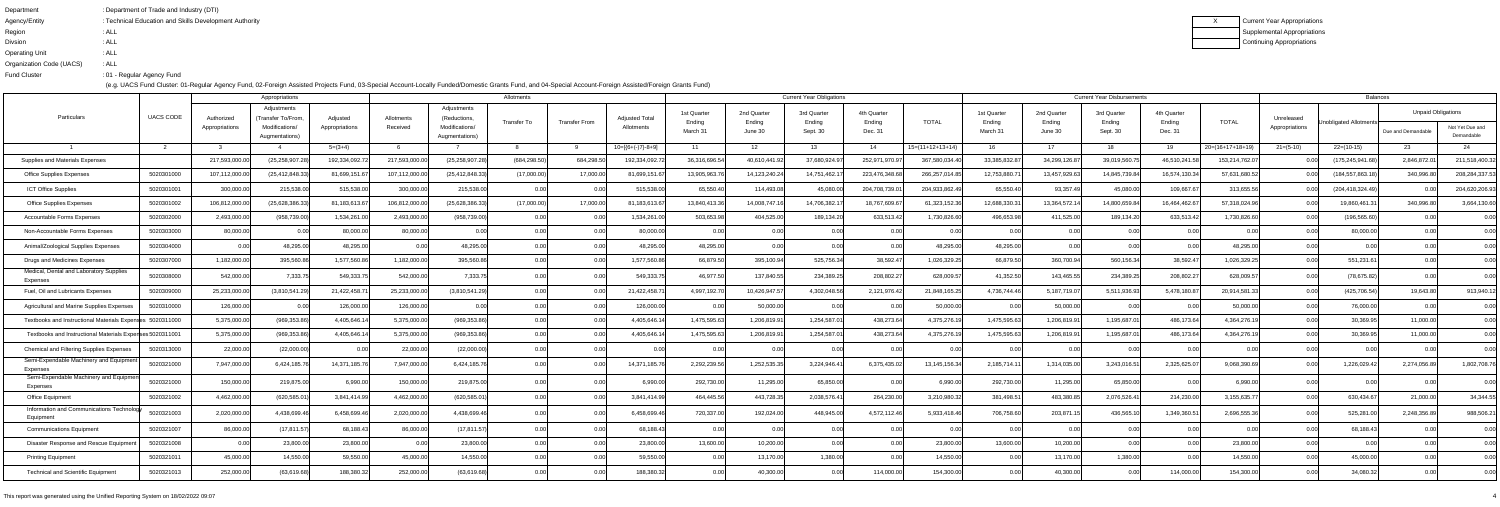| Department               | : Department of Trade and Industry (DTI)               |
|--------------------------|--------------------------------------------------------|
| Agency/Entity            | : Technical Education and Skills Development Authority |
| Region                   | : ALL                                                  |
| <b>Divsion</b>           | : ALL                                                  |
| <b>Operating Unit</b>    | : ALL                                                  |
| Organization Code (UACS) | : ALL                                                  |
| <b>Fund Cluster</b>      | :01 - Regular Agency Fund                              |
|                          |                                                        |

| Appropriations                                            |            |                |                                   |                |               |                                  | Allotments         |                      |                       |                                |                   | <b>Current Year Obligations</b> |                   |                    |                                |                   | <b>Current Year Disbursements</b> |                   |                    |                   | <b>Balances</b>         |                           |                               |
|-----------------------------------------------------------|------------|----------------|-----------------------------------|----------------|---------------|----------------------------------|--------------------|----------------------|-----------------------|--------------------------------|-------------------|---------------------------------|-------------------|--------------------|--------------------------------|-------------------|-----------------------------------|-------------------|--------------------|-------------------|-------------------------|---------------------------|-------------------------------|
| Particulars                                               | UACS CODE  | Authorized     | Adjustments<br>(Transfer To/From, | Adjusted       | Allotments    | Adjustments<br>(Reductions,      |                    |                      | <b>Adjusted Total</b> | 1st Quarter                    | 2nd Quarter       | 3rd Quarter                     | 4th Quarter       |                    | 1st Quarter                    | 2nd Quarter       | 3rd Quarter                       | 4th Quarter       |                    | Unreleased        |                         | <b>Unpaid Obligations</b> |                               |
|                                                           |            | Appropriations | Modifications/<br>Augmentations)  | Appropriations | Received      | Modifications/<br>Augmentations) | <b>Transfer To</b> | <b>Transfer From</b> | Allotments            | Ending<br>March 3 <sup>-</sup> | Ending<br>June 30 | Ending<br>Sept. 30              | Ending<br>Dec. 31 | <b>TOTAL</b>       | Ending<br>March 3 <sup>-</sup> | Ending<br>June 30 | Ending<br>Sept. 30                | Ending<br>Dec. 31 | <b>TOTAL</b>       | Appropriations    | Unobligated Allotmentsh | Due and Demandable        | Not Yet Due and<br>Demandable |
|                                                           |            |                |                                   | $5=(3+4)$      |               |                                  |                    |                      | $10=[(6+(-)7)-8+9]$   | - 11                           | -12               | 13 <sup>7</sup>                 | -14               | $15=(11+12+13+14)$ | 16                             | 17                | 18                                | - 19              | $20=(16+17+18+19)$ | $21 = (5-10)$     | $22=(10-15)$            | 23                        | 24                            |
| Supplies and Materials Expenses                           |            | 217,593,000.00 | (25,258,907.28                    | 192,334,092.   | 217,593,000.0 | (25, 258, 907.2)                 | (684, 298.50)      | 684,298.50           | 192,334,092.7         | 36,316,696.5                   | 40,610,441.       | 37,680,924.9                    | 252,971,970.9     | 367,580,034.40     | 33,385,832.87                  | 34,299,126.87     | 39,019,560.7                      | 46,510,241.58     | 153,214,762.07     | 0.00              | (175, 245, 941.68)      | 2,846,872.0               | 211,518,400.32                |
| <b>Office Supplies Expenses</b>                           | 5020301000 | 107,112,000.00 | (25, 412, 848.3)                  | 81,699,151.6   | 107,112,000.  | (25, 412, 848.3)                 | (17,000.00)        | 17,000.00            | 81,699,151.6          | 13,905,963.                    | 14,123,240.2      | 14,751,462.                     | 223,476,348.6     | 266,257,014.8      | 12,753,880.7                   | 13,457,929.6      | 14,845,739.8                      | 16,574,130.3      | 57,631,680.52      | 0.00              | (184, 557, 863. 18      | 340,996.8                 | 208,284,337.53                |
| ICT Office Supplies                                       | 5020301001 | 300,000.00     | 215,538.00                        | 515,538.00     | 300,000.0     | 215,538.0                        | 0.00               | 0.00                 | 515,538.00            | 65,550.40                      | 114,493.08        | 45,080.00                       | 204,708,739.01    | 204,933,862.49     | 65,550.40                      | 93,357.49         | 45,080.00                         | 109,667.67        | 313,655.56         | 0.00              | (204, 418, 324.49)      |                           | 204,620,206.93                |
| <b>Office Supplies Expenses</b>                           | 5020301002 | 106,812,000.00 | (25,628,386.3)                    | 81,183,613.67  | 106,812,000.0 | (25,628,386.3)                   | (17,000.00)        | 17,000.00            | 81,183,613.6          | 13,840,413.                    | 14,008,747.       | 14,706,382.                     | 18,767,609.6      | 61,323,152.36      | 12,688,330.3                   | 13,364,572.1      | 14,800,659.8                      | 16,464,462.6      | 57,318,024.96      | 0.001             | 19,860,461.3            | 340,996.80                | 3,664,130.60                  |
| Accountable Forms Expenses                                | 5020302000 | 2,493,000.00   | (958, 739.00)                     | 1,534,261.0    | 2,493,000.0   | (958, 739.00)                    | 0.00               |                      | 1,534,261.0           | 503,653.                       | 404,525.0         | 189,134.20                      | 633,513.42        | 1,730,826.60       | 496,653.98                     | 411,525.00        | 189,134.20                        | 633,513.42        | 1,730,826.60       | 0.00              | (196,565.60             |                           | 0.00                          |
| Non-Accountable Forms Expenses                            | 5020303000 | 80,000.00      | 0.00                              | 80,000.0       | 80,000.0      | 0.00                             | 0.00               | 0.00                 | 80,000.00             | 0.00                           | 0.0(              | 0.00                            | 0.00              | 0.00               | 0.00                           | 0 <sub>0</sub>    | 0.00                              | 0.00              | 0.00               | 0.00              | 80,000.00               |                           | 0.00                          |
| Animal/Zoological Supplies Expenses                       | 5020304000 | 0.00           | 48,295.00                         | 48,295.0       | 0.0           | 48,295.00                        |                    |                      | 48,295.0              | 48,295.0                       | 0.0(              | 0.00                            | 0.0               | 48,295.00          | 48,295.00                      |                   | 0.00                              | 0.00              | 48,295.00          | 0.00              | 0.00                    |                           | 0.00                          |
| <b>Drugs and Medicines Expenses</b>                       | 5020307000 | 1,182,000.00   | 395,560.86                        | 1,577,560.8    | 1,182,000.0   | 395,560.8                        | 0.00               |                      | 1,577,560.            | 66,879.5                       | 395,100.9         | 525,756.34                      | 38,592.47         | 1,026,329.25       | 66,879.50                      | 360,700.9         | 560,156.34                        | 38,592.4          | 1,026,329.25       | 0.00              | 551,231.61              |                           | 0.00                          |
| Medical, Dental and Laboratory Supplies<br>Expenses       | 5020308000 | 542,000.00     | 7,333.75                          | 549,333.       | 542,000.0     | 7,333.7                          | 0.00               | 0.001                | 549,333.7             | 46,977.5                       | 137,840.5         | 234,389.25                      | 208,802.27        | 628,009.5          | 41,352.50                      | 143,465.5         | 234,389.2                         | 208,802.27        | 628,009.57         | 0.00 <sub>l</sub> | (78, 675.82)            |                           | 0.00                          |
| Fuel, Oil and Lubricants Expenses                         | 5020309000 | 25,233,000.00  | (3,810,541.29)                    | 21,422,458.7   | 25,233,000.0  | (3,810,541.29)                   | 0.00               | 0.00                 | 21,422,458.7          | 4,997,192.7                    | 10,426,947.5      | 4,302,048.56                    | 2,121,976.42      | 21,848,165.25      | 4,736,744.46                   | 5,187,719.0       | 5,511,936.93                      | 5,478,180.87      | 20,914,581.33      | 0.00              | (425, 706.54)           | 19,643.80                 | 913,940.12                    |
| Agricultural and Marine Supplies Expenses                 | 5020310000 | 126,000.00     | 0.00                              | 126,000.0      | 126,000.0     |                                  | 0.00               | 0.00                 | 126,000.00            | 0 O                            | 50,000.00         | 0.00                            | 0.00              | 50,000.00          | 0.00                           | 50,000.00         | 0.00                              | 0.00              | 50,000.00          | 0.00              | 76,000.00               |                           | 0.00                          |
| Textbooks and Instructional Materials Expenses 5020311000 |            | 5,375,000.00   | (969, 353.86)                     | 4,405,646.     | 5,375,000.0   | (969,353.86                      | 0.00               |                      | 4,405,646.            | 1,475,595.6                    | 1,206,819.9       | 1,254,587.0                     | 438,273.64        | 4,375,276.1        | 1,475,595.63                   | 1,206,819.9       | 1,195,687.0                       | 486,173.6         | 4,364,276.1        | 0.00              | 30,369.95               | 11,000.00                 | 0.00                          |
| Textbooks and Instructional Materials Expenses 5020311001 |            | 5,375,000.00   | (969, 353.86)                     | 4,405,646.1    | 5,375,000.0   | (969, 353.86)                    | 0.00               | 0.00                 | 4,405,646.1           | 1,475,595.63                   | 1,206,819.91      | 1,254,587.0                     | 438,273.64        | 4,375,276.19       | 1,475,595.63                   | 1,206,819.9       | 1,195,687.0                       | 486,173.64        | 4,364,276.19       | 0.00              | 30,369.95               | 11,000.00                 | 0.00                          |
| <b>Chemical and Filtering Supplies Expenses</b>           | 5020313000 | 22,000.00      | (22,000.00)                       |                | 22,000.0      | (22,000.00)                      | 0.00               |                      | 0.00                  |                                | 0.00              |                                 | 0.0               | 0.0(               | 0.00                           |                   | 0.00                              |                   | 0.00               |                   | n nr                    |                           | 0.00                          |
| Semi-Expendable Machinery and Equipment<br>Expenses       | 5020321000 | 7,947,000.00   | 6,424,185.76                      | 14,371,185.7   | 7,947,000.0   | 6,424,185.7                      | 0.00               | 0.00l                | 14,371,185.76         | 2,292,239.5                    | 1,252,535.3       | 3,224,946.41                    | 6,375,435.02      | 13,145,156.34      | 2,185,714.11                   | 1,314,035.00      | 3,243,016.5                       | 2,325,625.07      | 9,068,390.69       | 0.001             | 1,226,029.42            | 2,274,056.89              | 1,802,708.76                  |
| Semi-Expendable Machinery and Equipmer<br>Expenses        | 5020321000 | 150,000.00     | 219,875.00                        | 6,990.00       | 150,000.0     | 219,875.00                       | 0.00               | 0.001                | 6,990.00              | 292,730.00                     | 11,295.00         | 65,850.00                       | 0.00              | 6,990.00           | 292,730.00                     | 11,295.00         | 65,850.00                         | 0.00              | 6,990.00           | 0.00              | 0.00                    |                           | 0.00                          |
| Office Equipment                                          | 5020321002 | 4,462,000.00   | (620, 585.0)                      | 3,841,414.9    | 4,462,000.0   | (620, 585.0)                     |                    |                      | 3,841,414.9           | 464,445.5                      | 443,728.3         | 2,038,576.4                     | 264,230.00        | 3,210,980.3        | 381,498.51                     | 483,380.8         | 2,076,526.4                       | 214,230.00        | 3,155,635.77       |                   | 630,434.6               | 21,000.0                  | 34,344.55                     |
| Information and Communications Technolog<br>Equipment     | 5020321003 | 2,020,000.00   | 4,438,699.46                      | 6,458,699.46   | 2,020,000.00  | 4,438,699.46                     | 0.001              | 0.OO                 | 6,458,699.46          | 720,337.00                     | 192,024.00        | 448,945.00                      | 4,572,112.46      | 5,933,418.46       | 706,758.60                     | 203,871.          | 436,565.1                         | 1,349,360.5       | 2,696,555.36       | 0.00              | 525,281.00              | 2,248,356.89              | 988,506.21                    |
| <b>Communications Equipment</b>                           | 5020321007 | 86,000.00      | (17, 811.57)                      | 68,188.43      | 86,000.00     | (17, 811.57)                     | 0.00               | 0.00                 | 68,188.43             | 0.00                           | 0.00              | 0.00                            | 0.00              | 0.00               | 0.00                           | 0.00              | 0.00                              | 0.00              | 0.00               | 0.00              | 68,188.43               |                           | 0.00                          |
| Disaster Response and Rescue Equipmen                     | 5020321008 | 0.00           | 23,800.00                         | 23,800.00      | 0.00          | 23,800.00                        | 0.00               | 0.00                 | 23,800.00             | 13,600.00                      | 10,200.00         | 0.00                            | 0.00              | 23,800.00          | 13,600.00                      | 10,200.00         | 0.00                              | 0.00              | 23,800.00          | 0.00              | 0.00                    |                           | 0.00                          |
| <b>Printing Equipment</b>                                 | 5020321011 | 45,000.00      | 14,550.00                         | 59,550.00      | 45,000.0      | 14,550.00                        | 0.00               | 0.00                 | 59,550.00             |                                | 13,170.00         | 1,380.00                        | 0.00              | 14,550.00          | 0.00                           | 13,170.00         | 1,380.00                          |                   | 14,550.00          | 0.00              | 45,000.00               |                           | 0.00                          |
| <b>Technical and Scientific Equipment</b>                 | 5020321013 | 252,000.00     | (63, 619.68)                      | 188,380.32     | 252,000.00    | (63, 619.68)                     | 0.00               | 0.00                 | 188,380.32            | 0.00                           | 40,300.00         | 0.00                            | 114,000.00        | 154,300.00         | 0.00                           | 40,300.00         | 0.00                              | 114,000.00        | 154,300.00         | 0.00              | 34,080.32               | 0.00                      | 0.00                          |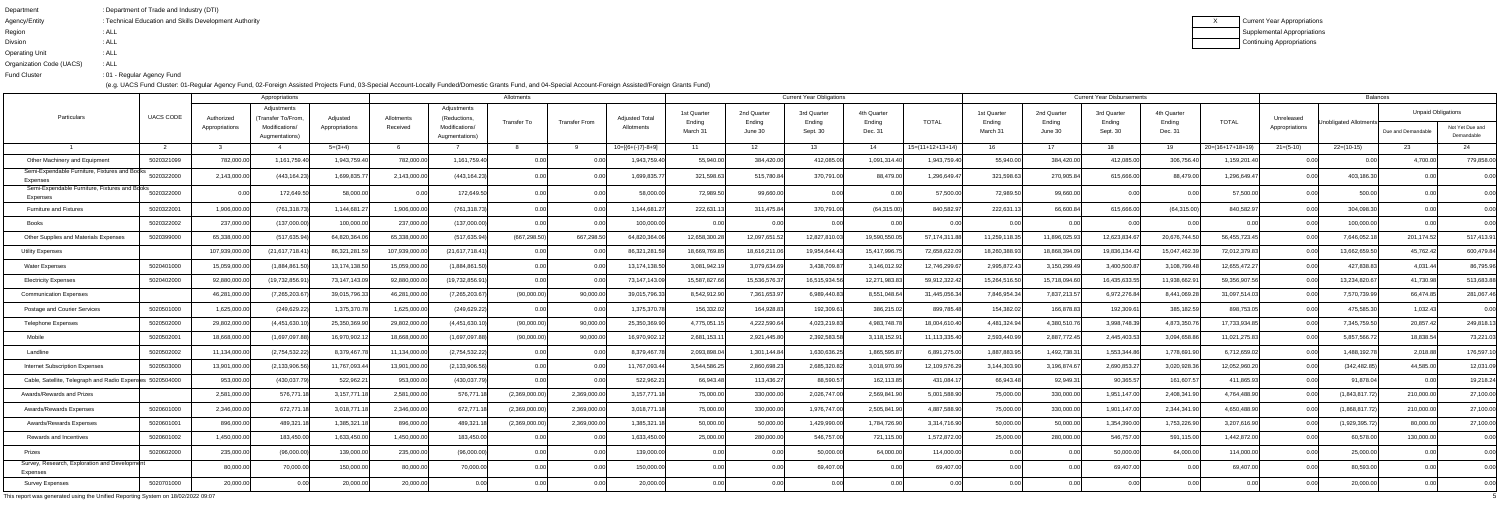| : Department of Trade and Industry (DTI)               |
|--------------------------------------------------------|
| : Technical Education and Skills Development Authority |
| : ALL                                                  |
| : ALL                                                  |
| : ALL                                                  |
| : ALL                                                  |
| :01 - Regular Agency Fund                              |
|                                                        |

|                                                           |                  |                              | Appropriations                                                        |                            |                        |                                                                 | Allotments     |                      |                                     |                                   |                                  | <b>Current Year Obligations</b>   |                                  |                    |                                   |                                  | <b>Current Year Disbursements</b> |                                  |                    |                              | <b>Balances</b>        |                                                 |                               |
|-----------------------------------------------------------|------------------|------------------------------|-----------------------------------------------------------------------|----------------------------|------------------------|-----------------------------------------------------------------|----------------|----------------------|-------------------------------------|-----------------------------------|----------------------------------|-----------------------------------|----------------------------------|--------------------|-----------------------------------|----------------------------------|-----------------------------------|----------------------------------|--------------------|------------------------------|------------------------|-------------------------------------------------|-------------------------------|
| Particulars                                               | <b>UACS CODE</b> | Authorized<br>Appropriations | Adjustments<br>(Transfer To/From.<br>Modifications/<br>Augmentations) | Adjusted<br>Appropriations | Allotments<br>Received | Adjustments<br>(Reductions,<br>Modifications/<br>Augmentations) | Transfer To    | <b>Transfer From</b> | <b>Adjusted Total</b><br>Allotments | 1st Quarter<br>Ending<br>March 31 | 2nd Quarter<br>Ending<br>June 30 | 3rd Quarter<br>Ending<br>Sept. 30 | 4th Quarter<br>Ending<br>Dec. 31 | <b>TOTAL</b>       | 1st Quarter<br>Ending<br>March 31 | 2nd Quarter<br>Ending<br>June 30 | 3rd Quarter<br>Ending<br>Sept. 30 | 4th Quarter<br>Ending<br>Dec. 31 | <b>TOTAL</b>       | Unreleased<br>Appropriations | Unobligated Allotments | <b>Unpaid Obligations</b><br>Due and Demandable | Not Yet Due and<br>Demandable |
|                                                           |                  |                              |                                                                       | $5=(3+4)$                  |                        |                                                                 |                |                      | $10=[(6+(-)7)-8+9]$                 |                                   | - 12                             | 13                                | 14                               | $15=(11+12+13+14)$ | 16                                | 17                               | 18                                | - 19                             | $20=(16+17+18+19)$ | $21 = (5-10)$                | $22=(10-15)$           | 23                                              | -24                           |
| Other Machinery and Equipment                             | 5020321099       | 782,000.00                   | 1,161,759.40                                                          | 1,943,759.40               | 782,000.0              | 1,161,759.40                                                    |                |                      | 1,943,759.4                         | 55,940.00                         | 384,420.0                        | 412,085.0                         | 1,091,314.40                     | 1,943,759.4        | 55,940.00                         | 384,420.00                       | 412,085.0                         | 306,756.40                       | 1,159,201.40       |                              |                        | 4,700.00                                        | 779,858.00                    |
| Semi-Expendable Furniture, Fixtures and Books<br>Expenses | 5020322000       | 2,143,000.00                 | (443, 164.23)                                                         | 1,699,835.7                | 2,143,000.0            | (443, 164.23)                                                   | 0.00           |                      | 1,699,835.7                         | 321,598.63                        | 515,780.84                       | 370,791.0                         | 88,479.00                        | 1,296,649.47       | 321,598.63                        | 270,905.84                       | 615,666.00                        | 88,479.00                        | 1,296,649.47       |                              | 403,186.30             |                                                 | 0.00                          |
| Semi-Expendable Furniture, Fixtures and Books<br>Expenses | 5020322000       | 0.00                         | 172,649.50                                                            | 58,000.00                  | 0.00                   | 172,649.50                                                      | 0.00           | 0.00                 | 58,000.00                           | 72,989.50                         | 99,660.00                        | 0.00                              | 0.00                             | 57,500.00          | 72,989.50                         | 99,660.00                        | 0.00                              |                                  | 57,500.00          |                              | 500.00                 |                                                 | 0.00                          |
| <b>Furniture and Fixtures</b>                             | 5020322001       | 1,906,000.00                 | (761, 318.73)                                                         | 1,144,681.2                | 1,906,000.0            | (761, 318.73)                                                   | 0.00           |                      | 1,144,681.                          | 222,631.13                        | 311,475.84                       | 370,791.0                         | (64, 315.00)                     | 840,582.9          | 222,631.13                        | 66,600.84                        | 615,666.00                        | (64,315.00                       | 840,582.97         | 0.OC                         | 304,098.30             | 0.00 <sub>l</sub>                               | 0.00                          |
| Books                                                     | 5020322002       | 237,000.00                   | (137,000.00)                                                          | 100,000.0                  | 237,000.0              | (137,000.00)                                                    | 0.00           | 0.00                 | 100,000.00                          | 0.00                              | 0.0                              | 0.00                              | 0.00                             | 0.00               | 0.00                              | 0.00                             | 0.00                              |                                  | 0.00               | 0.00                         | 100,000.00             | 0.00                                            | 0.00                          |
| Other Supplies and Materials Expenses                     | 5020399000       | 65,338,000.00                | (517, 635.94)                                                         | 64,820,364.0               | 65,338,000.0           | (517, 635.94)                                                   | (667, 298.50)  | 667,298.50           | 64,820,364.0                        | 12,658,300.2                      | 12,097,651.                      | 12,827,810.0                      | 19,590,550.05                    | 57,174,311.88      | 11,259,118.35                     | 11,896,025.93                    | 12,623,834.6                      | 20,676,744.50                    | 56,455,723.45      |                              | 7,646,052.1            | 201,174.52                                      | 517,413.91                    |
| <b>Utility Expenses</b>                                   |                  | 107,939,000.00               | (21,617,718.41                                                        | 86,321,281.                | 107,939,000.0          | (21,617,718.41                                                  | 0.00           |                      | 86,321,281.                         | 18,669,769.8                      | 18,616,211.                      | 19,954,644.4                      | 15,417,996.7                     | 72,658,622.09      | 18,260,388.93                     | 18,868,394.09                    | 19,836,134.42                     | 15,047,462.3                     | 72,012,379.83      | 0.00                         | 13,662,659.50          | 45,762.42                                       | 600,479.84                    |
| <b>Water Expenses</b>                                     | 5020401000       | 15,059,000.00                | (1,884,861.50)                                                        | 13,174,138.50              | 15,059,000.0           | (1,884,861.9)                                                   | 0.00           |                      | 13,174,138.5                        | 3,081,942.                        | 3,079,634.69                     | 3,438,709.8                       | 3,146,012.92                     | 12,746,299.67      | 2,995,872.43                      | 3,150,299.49                     | 3,400,500.87                      | 3,108,799.48                     | 12,655,472.27      | 0.00                         | 427,838.83             | 4,031.44                                        | 86,795.96                     |
| <b>Electricity Expenses</b>                               | 5020402000       | 92,880,000.00                | (19,732,856.9                                                         | 73,147,143.0               | 92,880,000.0           | (19,732,856.91                                                  | 0.00           |                      | 73,147,143.0                        | 15,587,827.66                     | 15,536,576.3                     | 16,515,934.5                      | 12,271,983.83                    | 59,912,322.42      | 15,264,516.50                     | 15,718,094.60                    | 16,435,633.5                      | 11,938,662.9                     | 59,356,907.56      | 0.00                         | 13,234,820.67          | 41,730.98                                       | 513,683.88                    |
| <b>Communication Expenses</b>                             |                  | 46,281,000.00                | (7, 265, 203.67)                                                      | 39,015,796.33              | 46,281,000.0           | (7, 265, 203.6)                                                 | (90,000.00)    | 90,000.00            | 39,015,796.3                        | 8,542,912.90                      | 7,361,653.9                      | 6,989,440.8                       | 8,551,048.64                     | 31,445,056.3       | 7,846,954.3                       | 7,837,213.57                     | 6,972,276.84                      | 8,441,069.2                      | 31,097,514.03      | 0.00                         | 7,570,739.99           | 66,474.85                                       | 281,067.46                    |
| Postage and Courier Services                              | 5020501000       | 1,625,000.00                 | (249, 629.22)                                                         | 1,375,370.78               | 1,625,000.0            | (249,629.22                                                     | 0.00           | 0.00                 | 1,375,370.7                         | 156,332.02                        | 164,928.83                       | 192,309.6                         | 386,215.02                       | 899,785.48         | 154,382.0                         | 166,878.83                       | 192,309.61                        | 385,182.59                       | 898,753.05         | 0.00                         | 475,585.30             | 1,032.43                                        | 0.00                          |
| <b>Telephone Expenses</b>                                 | 5020502000       | 29,802,000.00                | (4,451,630.1)                                                         | 25,350,369.9               | 29,802,000.0           | (4,451,630.1)                                                   | (90,000.00)    | 90,000.00            | 25,350,369.9                        | 4,775,051.                        | 4,222,590.64                     | 4,023,219.83                      | 4,983,748.78                     | 18,004,610.4       | 4,481,324.94                      | 4,380,510.76                     | 3,998,748.39                      | 4,873,350.7                      | 17,733,934.85      | 0.00                         | 7,345,759.50           | 20,857.42                                       | 249,818.13                    |
| Mobile                                                    | 5020502001       | 18,668,000.00                | (1,697,097.88)                                                        | 16,970,902.1               | 18,668,000.0           | (1,697,097.8)                                                   | (90,000.00)    | 90,000.00            | 16,970,902.1                        | 2,681,153.                        | 2,921,445.80                     | 2,392,583.5                       | 3,118,152.91                     | 11,113,335.40      | 2,593,440.99                      | 2,887,772.45                     | 2,445,403.53                      | 3,094,658.86                     | 11,021,275.83      | 0.00                         | 5,857,566.7            | 18,838.54                                       | 73,221.03                     |
| Landline                                                  | 5020502002       | 11,134,000.00                | (2,754,532.22)                                                        | 8,379,467.7                | 11,134,000.0           | (2,754,532.2)                                                   | 0.00           | 0.00                 | 8,379,467.                          | 2,093,898.04                      | 1,301,144.84                     | 1,630,636.2                       | 1,865,595.87                     | 6,891,275.00       | 1,887,883.95                      | 1,492,738.3                      | 1,553,344.86                      | 1,778,691.90                     | 6,712,659.02       | 0.00                         | 1,488,192.7            | 2,018.88                                        | 176,597.10                    |
| Internet Subscription Expenses                            | 5020503000       | 13,901,000.00                | (2, 133, 906.56)                                                      | 11,767,093.44              | 13,901,000.0           | (2, 133, 906.56)                                                | 0.00           |                      | 11,767,093.4                        | 3,544,586.2                       | 2,860,698.23                     | 2,685,320.8                       | 3,018,970.99                     | 12,109,576.29      | 3,144,303.90                      | 3,196,874.67                     | 2,690,853.2                       | 3,020,928.3                      | 12,052,960.20      | 0.00                         | (342, 482.85)          | 44,585.00                                       | 12,031.09                     |
| Cable, Satellite, Telegraph and Radio Expenses 5020504000 |                  | 953,000.00                   | (430,037.79)                                                          | 522,962.2                  | 953,000.0              | (430,037.79)                                                    | 0.00           |                      | 522,962.2                           | 66,943.48                         | 113,436.27                       | 88,590.5                          | 162,113.85                       | 431,084.1          | 66,943.48                         | 92,949.3                         | 90,365.57                         | 161,607.5                        | 411,865.93         | 0.00                         | 91,878.04              | 0.00                                            | 19,218.24                     |
| Awards/Rewards and Prizes                                 |                  | 2,581,000.00                 | 576,771.1                                                             | 3,157,771.1                | 2,581,000.0            | 576,771.                                                        | (2,369,000.00) | 2,369,000.00         | 3,157,771.1                         | 75,000.00                         | 330,000.0                        | 2,026,747.0                       | 2,569,841.90                     | 5,001,588.90       | 75,000.00                         | 330,000.00                       | 1,951,147.00                      | 2,408,341.90                     | 4,764,488.90       | 0.00                         | (1,843,817.72)         | 210,000.00                                      | 27,100.00                     |
| <b>Awards/Rewards Expenses</b>                            | 5020601000       | 2.346.000.00                 | 672.771.1                                                             | 3.018.771.                 | 2.346.000.             | 672.771.                                                        | 2.369.000.0    | .369.000.00          | 3.018.771                           | 75.000.00                         | 330,000.00                       | 1.976.747.00                      | 2.505.841.90                     | 4.887.588.90       | 75.000.00                         | 330.000.00                       | 1.901.147.00                      | 2.344.341.90                     | 4.650.488.90       | ስ ስስ                         | 868.817.72             | 210.000.00                                      | 27.100.00                     |
| <b>Awards/Rewards Expenses</b>                            | 5020601001       | 896,000.00                   | 489,321.18                                                            | 1,385,321.18               | 896,000.0              | 489,321.1                                                       | (2,369,000.00) | 2,369,000.00         | 1,385,321.1                         | 50,000.00                         | 50,000.00                        | 1,429,990.00                      | 1,784,726.90                     | 3,314,716.90       | 50,000.00                         | 50,000.00                        | 1,354,390.00                      | 1,753,226.90                     | 3,207,616.90       | 0.00                         | (1,929,395.72)         | 80,000.00                                       | 27,100.00                     |
| Rewards and Incentives                                    | 5020601002       | 1,450,000.00                 | 183,450.00                                                            | 1,633,450.00               | 1,450,000.00           | 183,450.00                                                      | 0.00           | 0.00                 | 1,633,450.00                        | 25,000.00                         | 280,000.00                       | 546,757.00                        | 721,115.00                       | 1,572,872.00       | 25,000.00                         | 280,000.00                       | 546,757.00                        | 591,115.00                       | 1,442,872.00       | 0.00                         | 60,578.00              | 130,000.00                                      | 0.00                          |
| Prizes                                                    | 5020602000       | 235,000.00                   | (96,000.00)                                                           | 139,000.00                 | 235,000.0              | (96,000.00)                                                     | 0.00           |                      | 139,000.00                          | 0.00                              |                                  | 50,000.00                         | 64,000.00                        | 114,000.00         | 0.00                              | 0.00                             | 50,000.00                         | 64,000.00                        | 114,000.00         | 0.00                         | 25,000.00              | 0.00                                            | 0.00                          |
| Survey, Research, Exploration and Development<br>Expenses |                  | 80,000.00                    | 70,000.00                                                             | 150,000.00                 | 80,000.00              | 70,000.00                                                       | 0.00           | _0.00l               | 150,000.00                          | 0.00                              | 0.00                             | 69,407.00                         | 0.00                             | 69,407.00          | 0.00                              | 0.00                             | 69,407.00                         |                                  | 69,407.00          | 0.00                         | 80,593.00              | 0.00                                            | 0.00                          |
| <b>Survey Expenses</b>                                    | 5020701000       | 20,000.00                    | 0.001                                                                 | 20,000.00                  | 20,000.0               |                                                                 | 0.00           | 0.00                 | 20,000.00                           | 0.00                              | 0.00                             | 0.00                              | 0.00                             | 0.00               | 0.00                              | 0.00                             | 0.00                              | 0.00                             | 0.00               | 0.00                         | 20,000.00              | 0.00                                            | 0.00                          |
|                                                           |                  |                              |                                                                       |                            |                        |                                                                 |                |                      |                                     |                                   |                                  |                                   |                                  |                    |                                   |                                  |                                   |                                  |                    |                              |                        |                                                 |                               |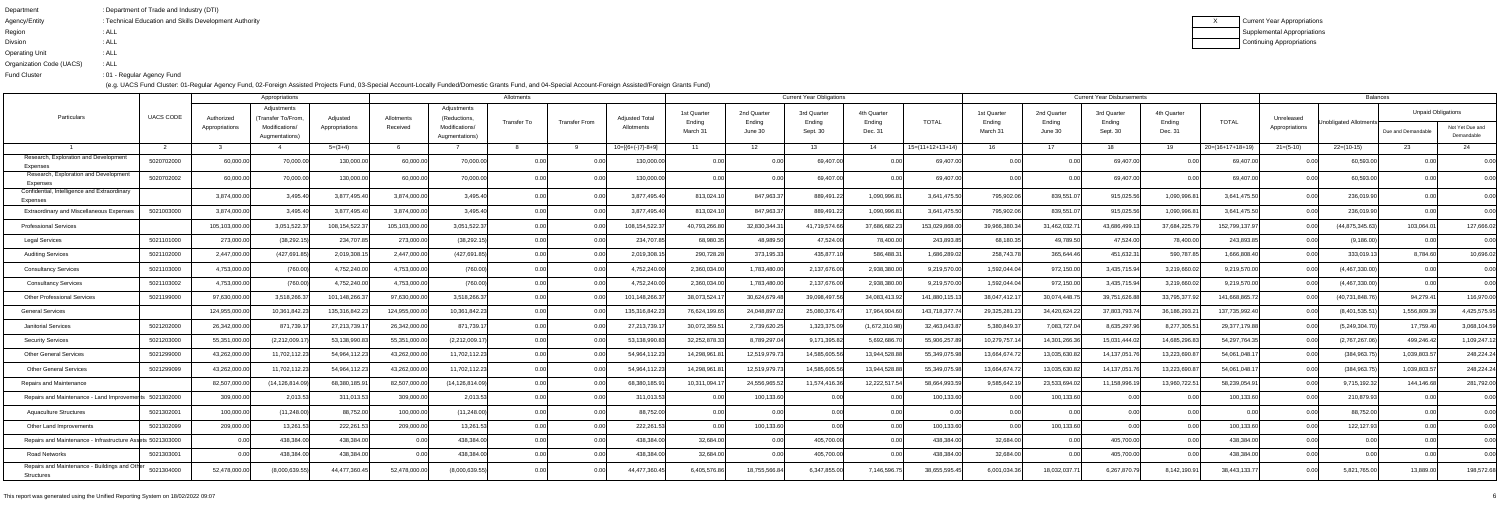| Department               | : Department of Trade and Industry (DTI)               |
|--------------------------|--------------------------------------------------------|
| Agency/Entity            | : Technical Education and Skills Development Authority |
| Region                   | : ALL                                                  |
| <b>Divsion</b>           | : ALL                                                  |
| <b>Operating Unit</b>    | : ALL                                                  |
| Organization Code (UACS) | : ALL                                                  |
| <b>Fund Cluster</b>      | :01 - Regular Agency Fund                              |

|                                                             |                  |                              | Appropriations                                                        |                            |                        |                                                                 | Allotments         |                      |                                     |                                   |                                  | <b>Current Year Obligations</b>   |                                  |                    |                                  |                                  | <b>Current Year Disbursements</b> |                                  |                    |                              | <b>Balances</b>        |                                                 |                               |
|-------------------------------------------------------------|------------------|------------------------------|-----------------------------------------------------------------------|----------------------------|------------------------|-----------------------------------------------------------------|--------------------|----------------------|-------------------------------------|-----------------------------------|----------------------------------|-----------------------------------|----------------------------------|--------------------|----------------------------------|----------------------------------|-----------------------------------|----------------------------------|--------------------|------------------------------|------------------------|-------------------------------------------------|-------------------------------|
| Particulars                                                 | <b>UACS CODE</b> | Authorized<br>Appropriations | Adjustments<br>(Transfer To/From.<br>Modifications/<br>Augmentations) | Adjusted<br>Appropriations | Allotments<br>Received | Adjustments<br>(Reductions,<br>Modifications/<br>Augmentations) | <b>Transfer To</b> | <b>Transfer From</b> | <b>Adjusted Total</b><br>Allotments | 1st Quarter<br>Ending<br>March 31 | 2nd Quarter<br>Ending<br>June 30 | 3rd Quarter<br>Ending<br>Sept. 30 | 4th Quarter<br>Ending<br>Dec. 31 | <b>TOTAL</b>       | 1st Quarter<br>Ending<br>March 3 | 2nd Quarter<br>Ending<br>June 30 | 3rd Quarter<br>Ending<br>Sept. 30 | 4th Quarter<br>Ending<br>Dec. 31 | <b>TOTAL</b>       | Unreleased<br>Appropriations | Unobligated Allotments | <b>Unpaid Obligations</b><br>Due and Demandable | Not Yet Due and<br>Demandable |
|                                                             |                  |                              |                                                                       | $5=(3+4)$                  |                        |                                                                 |                    |                      | $10=[(6+(-)7)-8+9]$                 | - 11                              | 12                               | 13                                | 14                               | $15=(11+12+13+14)$ | 16                               | 17                               | 18                                | 19                               | $20=(16+17+18+19)$ | $21 = (5-10)$                | $22=(10-15)$           | 23                                              | 24                            |
| Research, Exploration and Development<br>Expenses           | 5020702000       | 60,000.00                    | 70,000.00                                                             | 130,000.0                  | 60,000.0               | 70,000.0                                                        |                    |                      | 130,000.0                           |                                   |                                  | 69,407.0                          |                                  | 69,407.00          | 0.00                             |                                  | 69,407.00                         |                                  | 69,407.00          |                              | 60,593.00              |                                                 |                               |
| Research, Exploration and Development<br>Expenses           | 5020702002       | 60,000.00                    | 70,000.00                                                             | 130,000.0                  | 60,000.0               | 70,000.00                                                       |                    |                      | 130,000.00                          | 0.00                              |                                  | 69,407.0                          | 0.00                             | 69,407.00          | 0.00                             | 0.00                             | 69,407.00                         |                                  | 69,407.00          |                              | 60,593.00              |                                                 |                               |
| Confidential, Intelligence and Extraordinary<br>Expenses    |                  | 3,874,000.00                 | 3,495.40                                                              | 3,877,495.40               | 3,874,000.0            | 3,495.40                                                        |                    |                      | 3,877,495.40                        | 813,024.10                        | 847,963.3                        | 889,491.22                        | 1,090,996.8                      | 3,641,475.50       | 795,902.06                       | 839,551.0                        | 915,025.56                        | 1,090,996.8                      | 3,641,475.50       | 0.00                         | 236,019.90             |                                                 |                               |
| <b>Extraordinary and Miscellaneous Expenses</b>             | 5021003000       | 3,874,000.00                 | 3,495.40                                                              | 3,877,495.40               | 3,874,000.0            | 3,495.40                                                        | 0.00               |                      | 3,877,495.40                        | 813,024.10                        | 847,963.3                        | 889,491.22                        | 1,090,996.8                      | 3,641,475.50       | 795,902.06                       | 839,551.07                       | 915,025.56                        | 1,090,996.8                      | 3,641,475.50       | 0.00                         | 236,019.90             | 0.00 <sub>l</sub>                               | 0.00                          |
| <b>Professional Services</b>                                |                  | 105,103,000.00               | 3,051,522.37                                                          | 108,154,522.               | 105,103,000.0          | 3,051,522.3                                                     | 0.00               |                      | 108,154,522.                        | 40,793,266.80                     | 32,830,344.3                     | 41,719,574.66                     | 37,686,682.23                    | 153,029,868.00     | 39,966,380.34                    | 31,462,032.7                     | 43,686,499.1                      | 37,684,225.7                     | 152,799,137.97     | 0.00                         | (44, 875, 345.63)      | 103,064.0                                       | 127,666.02                    |
| Legal Services                                              | 5021101000       | 273,000.00                   | (38, 292.15)                                                          | 234,707.8                  | 273,000.0              | (38, 292.1)                                                     | 0.00               | 0.00                 | 234,707.                            | 68,980.3                          | 48,989.5                         | 47,524.00                         | 78,400.00                        | 243,893.85         | 68,180.35                        | 49,789.50                        | 47,524.00                         | 78,400.00                        | 243,893.85         | 0.00                         | (9, 186.00)            | 0.00                                            | 0.00                          |
| <b>Auditing Services</b>                                    | 5021102000       | 2,447,000.00                 | (427, 691.85)                                                         | 2,019,308.1                | 2,447,000.0            | (427,691.85                                                     | 0.00               |                      | 2,019,308.                          | 290,728.28                        | 373,195.33                       | 435,877.1                         | 586,488.3                        | 1,686,289.0        | 258,743.78                       | 365,644.46                       | 451,632.3                         | 590,787.8                        | 1,666,808.40       | 0.00                         | 333,019.13             | 8,784.60                                        | 10,696.02                     |
| <b>Consultancy Services</b>                                 | 5021103000       | 4,753,000.00                 | (760.00)                                                              | 4,752,240.0                | 4,753,000.0            | (760.00)                                                        | 0.00               |                      | 4,752,240.0                         | 2,360,034.00                      | 1,783,480.0                      | 2,137,676.0                       | 2,938,380.00                     | 9,219,570.00       | 1,592,044.0                      | 972,150.00                       | 3,435,715.9                       | 3,219,660.0                      | 9,219,570.00       |                              | (4,467,330.00)         |                                                 | 0.00                          |
| <b>Consultancy Services</b>                                 | 5021103002       | 4,753,000.00                 | (760.00)                                                              | 4,752,240.0                | 4,753,000.0            | (760.00                                                         | 0.00               | 0.00                 | 4,752,240.00                        | 2,360,034.00                      | 1,783,480.0                      | 2,137,676.00                      | 2,938,380.00                     | 9,219,570.00       | 1,592,044.04                     | 972,150.00                       | 3,435,715.94                      | 3,219,660.02                     | 9,219,570.00       | 0.00                         | (4,467,330.00)         | 0.00 <sub>l</sub>                               | 0.00                          |
| <b>Other Professional Services</b>                          | 5021199000       | 97,630,000.0                 | 3,518,266.37                                                          | 101,148,266.3              | 97,630,000.0           | 3,518,266.3                                                     | 0.00               |                      | 101,148,266.                        | 38,073,524.                       | 30,624,679.48                    | 39,098,497.5                      | 34,083,413.92                    | 141,880,115.       | 38,047,412.17                    | 30,074,448.7                     | 39,751,626.88                     | 33,795,377.92                    | 141,668,865.72     | 0.00                         | (40, 731, 848.76)      | 94,279.41                                       | 116,970.00                    |
| <b>General Services</b>                                     |                  | 124,955,000.0                | 10,361,842.23                                                         | 135,316,842.2              | 124,955,000.0          | 10,361,842.2                                                    | 0.00               |                      | 135,316,842.2                       | 76,624,199.65                     | 24,048,897.                      | 25,080,376.47                     | 17,964,904.60                    | 143,718,377.7      | 29,325,281.23                    | 34,420,624.22                    | 37,803,793.7                      | 36,186,293.2                     | 137,735,992.40     | 0.00                         | (8,401,535.5)          | 1,556,809.39                                    | 4,425,575.95                  |
| <b>Janitorial Services</b>                                  | 5021202000       | 26,342,000.00                | 871,739.17                                                            | 27,213,739.1               | 26,342,000.0           | 871,739.1                                                       | 0.00               | 0.00                 | 27,213,739.1                        | 30,072,359.5                      | 2,739,620.2                      | 1,323,375.09                      | (1,672,310.98)                   | 32,463,043.87      | 5,380,849.3                      | 7,083,727.04                     | 8,635,297.96                      | 8,277,305.5                      | 29,377,179.88      | 0.00                         | (5,249,304.70)         | 17,759.40                                       | 3,068,104.59                  |
| <b>Security Services</b>                                    | 5021203000       | 55,351,000.00                | (2,212,009.1)                                                         | 53,138,990.83              | 55,351,000.0           | (2,212,009.1)                                                   | 0.00               |                      | 53,138,990.83                       | 32,252,878.33                     | 8,789,297.0                      | 9,171,395.82                      | 5,692,686.70                     | 55,906,257.8       | 10,279,757.14                    | 14,301,266.36                    | 15,031,444.02                     | 14,685,296.8                     | 54,297,764.35      | 0.00                         | (2,767,267.06)         | 499,246.42                                      | 1,109,247.12                  |
| <b>Other General Services</b>                               | 5021299000       | 43,262,000.00                | 11,702,112.23                                                         | 54,964,112.2               | 43,262,000.0           | 11,702,112.2                                                    | 0.00               |                      | 54,964,112.2                        | 14,298,961.8                      | 12,519,979.73                    | 14,585,605.5                      | 13,944,528.88                    | 55,349,075.9       | 13,664,674.7                     | 13,035,630.82                    | 14,137,051.7                      | 13,223,690.8                     | 54,061,048.1       | 0.00                         | (384,963.75            | 1,039,803.57                                    | 248,224.24                    |
| <b>Other General Services</b>                               | 5021299099       | 43,262,000.00                | 11,702,112.23                                                         | 54,964,112.23              | 43,262,000.0           | 11,702,112.23                                                   | 0.00               | 0.00                 | 54,964,112.2                        | 14,298,961.8                      | 12,519,979.73                    | 14,585,605.56                     | 13,944,528.88                    | 55,349,075.98      | 13,664,674.72                    | 13,035,630.82                    | 14,137,051.7                      | 13,223,690.8                     | 54,061,048.1       | 0.00                         | (384,963.75            | 1,039,803.57                                    | 248,224.24                    |
| Repairs and Maintenance                                     |                  | 82,507,000.00                | (14, 126, 814.09)                                                     | 68,380,185.9               | 82,507,000.0           | (14, 126, 814.09)                                               | 0.00               |                      | 68,380,185.9                        | 10,311,094.                       | 24,556,965.                      | 11.574.416.36                     | 12,222,517.5                     | 58,664,993.5       | 9,585,642.1                      | 23,533,694.0                     | 11,158,996.1                      | 13,960,722.5                     | 58,239,054.9       | 0.00                         | 9,715,192.32           | 144,146.68                                      | 281,792.00                    |
| Repairs and Maintenance - Land Improvem                     | s 5021302000     | 309,000.00                   | 2,013.53                                                              | 311,013.53                 | 309,000.0              | 2,013.5                                                         |                    |                      | 311,013.53                          |                                   | 100,133.6                        |                                   |                                  | 100,133.60         | 0.00                             | 100,133.60                       |                                   |                                  | 100,133.60         |                              | 210,879.93             |                                                 | 0.00                          |
| <b>Aquaculture Structures</b>                               | 5021302001       | 100,000.00                   | (11,248.00)                                                           | 88,752.00                  | 100,000.00             | (11, 248.00)                                                    | v.vv               | v.vv                 | 88,752.00                           | UU                                | .UU                              |                                   | 0.00                             | <b>.UU</b>         | <b>U.UU</b>                      | $\sim$ $\sim$<br>v.vu            | v.vo                              | <b>U.UU</b>                      | U.UU               | υ.υυ                         | 88,752.00              | 0.00                                            | <b>U.UU</b>                   |
| Other Land Improvements                                     | 5021302099       | 209,000.00                   | 13,261.53                                                             | 222,261.53                 | 209,000.00             | 13,261.53                                                       | 0.00               | _0.00l               | 222,261.53                          | 0.00                              | 100,133.60                       |                                   | 0.00                             | 100,133.60         | 0.00                             | 100,133.60                       | 0.00                              | 0.00                             | 100,133.60         | 0.001                        | 122,127.93             | 0.00 <sub>l</sub>                               | 0.00                          |
| Repairs and Maintenance - Infrastructure Assets 5021303000  |                  | 0.001                        | 438,384.00                                                            | 438,384.00                 |                        | 438,384.00                                                      | 0.00               | _0.00l               | 438,384.00                          | 32,684.00                         | 0.00                             | 405,700.00                        | 0.00                             | 438,384.00         | 32,684.00                        | 0.00                             | 405,700.00                        |                                  | 438,384.00         | 0.00                         | 0.00                   |                                                 | 0.00                          |
| Road Networks                                               | 5021303001       | 0.00                         | 438,384.00                                                            | 438,384.00                 | 0.00                   | 438,384.0                                                       | 0.00               | 0.00                 | 438,384.00                          | 32,684.00                         | 0.00                             | 405,700.00                        | 0.00                             | 438,384.00         | 32,684.00                        | 0.00                             | 405,700.00                        | 0.00                             | 438,384.00         | 0.00                         | 0.00                   |                                                 | 0.00                          |
| Repairs and Maintenance - Buildings and Other<br>Structures | 5021304000       | 52,478,000.00                | (8,000,639.55)                                                        | 44,477,360.45              | 52,478,000.00          | (8,000,639.55)                                                  | 0.00               | 0.00                 | 44,477,360.45                       | 6,405,576.86                      | 18,755,566.84                    | 6,347,855.00                      | 7,146,596.75                     | 38,655,595.45      | 6,001,034.36                     | 18,032,037.7                     | 6,267,870.7                       | 8,142,190.9                      | 38,443,133.77      | 0.00                         | 5,821,765.00           | 13,889.00                                       | 198,572.68                    |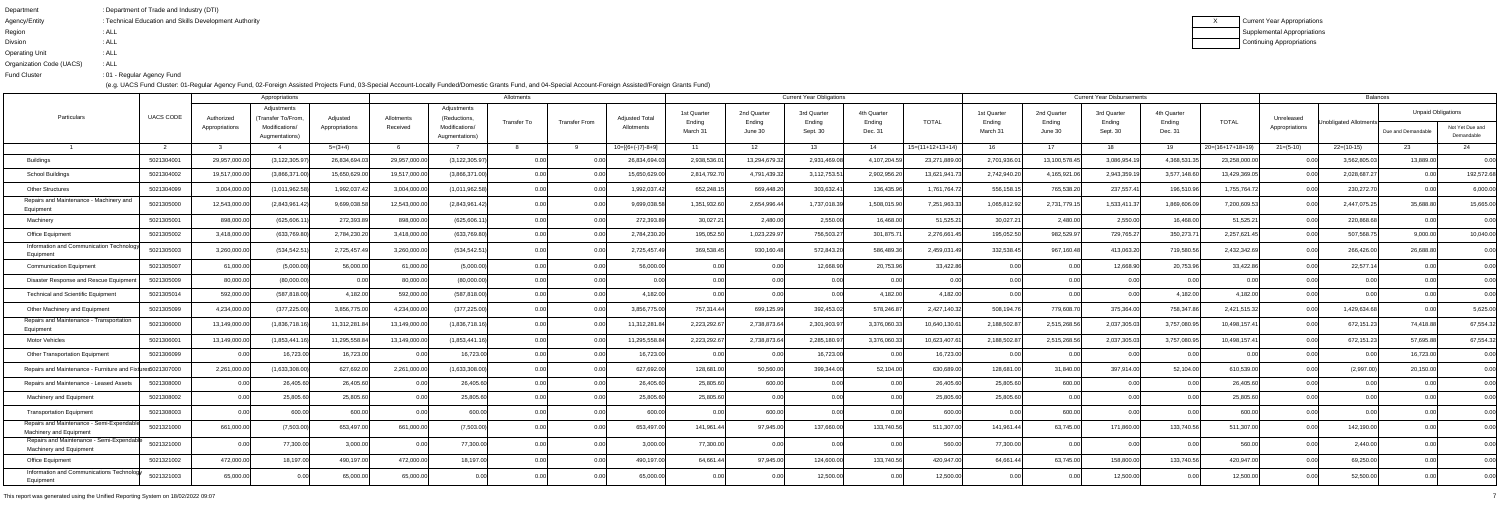| Department               | : Department of Trade and Industry (DTI)               |
|--------------------------|--------------------------------------------------------|
| Agency/Entity            | : Technical Education and Skills Development Authority |
| Region                   | : ALL                                                  |
| <b>Divsion</b>           | : ALL                                                  |
| <b>Operating Unit</b>    | : ALL                                                  |
| Organization Code (UACS) | : ALL                                                  |
| <b>Fund Cluster</b>      | :01 - Regular Agency Fund                              |
|                          |                                                        |

|                                                                      |                  |                | Allotments                       |                |              |                                  |             | <b>Current Year Obligations</b> |                       |                       |                       |                       | <b>Current Year Disbursements</b> |                    |                       |                       |                       | <b>Balances</b>       |                    |                |                        |                           |                               |
|----------------------------------------------------------------------|------------------|----------------|----------------------------------|----------------|--------------|----------------------------------|-------------|---------------------------------|-----------------------|-----------------------|-----------------------|-----------------------|-----------------------------------|--------------------|-----------------------|-----------------------|-----------------------|-----------------------|--------------------|----------------|------------------------|---------------------------|-------------------------------|
| Particulars                                                          | <b>UACS CODE</b> | Authorized     | Adjustments<br>(Transfer To/From | Adjusted       | Allotments   | Adjustments<br>(Reductions,      | Transfer To | <b>Transfer From</b>            | <b>Adjusted Total</b> | 1st Quarter<br>Ending | 2nd Quarter<br>Ending | 3rd Quarter<br>Ending | 4th Quarter<br>Ending             | <b>TOTAL</b>       | 1st Quarter<br>Ending | 2nd Quarter<br>Ending | 3rd Quarter<br>Ending | 4th Quarter<br>Ending | <b>TOTAL</b>       | Unreleased     | Unobligated Allotments | <b>Unpaid Obligations</b> |                               |
|                                                                      |                  | Appropriations | Modifications/<br>Augmentations) | Appropriations | Received     | Modifications/<br>Augmentations) |             |                                 | Allotments            | March 31              | June 30               | Sept. 30              | Dec. 31                           |                    | March 3               | June 30               | Sept. 30              | Dec. 31               |                    | Appropriations |                        | Due and Demandable        | Not Yet Due and<br>Demandable |
|                                                                      |                  |                |                                  | $5=(3+4)$      |              |                                  |             |                                 | $10=[6+(-)7]-8+9$     | 11                    | 12                    | 13                    | 14                                | $15=(11+12+13+14)$ | 16                    | 17                    | 18                    | 19                    | $20=(16+17+18+19)$ | $21=(5-10)$    | $22=(10-15)$           | 23                        | 24                            |
| Buildings                                                            | 5021304001       | 29,957,000.00  | (3, 122, 305.97)                 | 26,834,694.0   | 29,957,000.0 | (3, 122, 305.9)                  | 0.00        |                                 | 26,834,694            | 2,938,536.0           | 13,294,679.3.         | 2,931,469.0           | 4,107,204.59                      | 23,271,889.00      | 2,701,936.0           | 13,100,578.45         | 3,086,954.1           | 4,368,531.3           | 23,258,000.00      | 0.OO           | 3,562,805.0            | 13,889.00                 | 0.00                          |
| <b>School Buildings</b>                                              | 5021304002       | 19,517,000.00  | (3,866,371.00)                   | 15,650,629.00  | 19,517,000.0 | (3,866,371.0                     | 0.00        |                                 | 15,650,629.0          | 2,814,792.7           | 4,791,439.3           | 3,112,753.5           | 2,902,956.20                      | 13,621,941.7       | 2,742,940.20          | 4,165,921.06          | 2,943,359.1           | 3,577,148.60          | 13,429,369.05      | 0.00           | 2,028,687.2            | 0.00                      | 192,572.68                    |
| <b>Other Structures</b>                                              | 5021304099       | 3,004,000.0    | (1,011,962.58)                   | 1,992,037.42   | 3,004,000.0  | (1,011,962.58)                   | 0.00        | 0.00                            | 1,992,037.4           | 652,248.1             | 669,448.2             | 303,632.4             | 136,435.96                        | 1,761,764.7        | 556,158.1             | 765,538.20            | 237,557.41            | 196,510.9             | 1,755,764.72       | 0.00           | 230,272.70             | 0.00                      | 6,000.00                      |
| Repairs and Maintenance - Machinery and<br>Equipment                 | 5021305000       | 12,543,000.00  | (2,843,961.42)                   | 9,699,038.58   | 12,543,000.0 | (2,843,961.42)                   |             |                                 | 9,699,038.t           | 1,351,932.60          | 2,654,996.4           | 1,737,018.3           | 1,508,015.90                      | 7,251,963.33       | 1,065,812.92          | 2,731,779.1           | 1,533,411.3           | 1,869,606.0           | 7,200,609.53       | 0.00           | 2,447,075.25           | 35,688.80                 | 15,665.00                     |
| Machinery                                                            | 5021305001       | 898,000.00     | (625, 606.1)                     | 272,393.89     | 898,000.0    | (625, 606.1)                     | 0.00        |                                 | 272,393.8             | 30,027.21             | 2,480.00              | 2,550.00              | 16,468.00                         | 51,525.21          | 30,027.21             | 2,480.00              | 2,550.00              | 16,468.00             | 51,525.21          | 0.00           | 220,868.68             | 0.00                      | 0.00                          |
| <b>Office Equipment</b>                                              | 5021305002       | 3,418,000.00   | (633,769.80)                     | 2,784,230.20   | 3,418,000.0  | (633,769.80                      | 0.00        |                                 | 2,784,230.20          | 195,052.50            | 1,023,229.9           | 756,503.2             | 301,875.7                         | 2,276,661.4        | 195,052.50            | 982,529.97            | 729,765.27            | 350,273.7             | 2,257,621.45       | 0.00           | 507,568.7              | 9,000.00                  | 10,040.00                     |
| Information and Communication Technology<br>Equipment                | 5021305003       | 3,260,000.00   | (534, 542.5)                     | 2,725,457.49   | 3,260,000.0  | (534, 542.5)                     | 0.00        |                                 | 2,725,457.            | 369,538.45            | 930,160.4             | 572,843.2             | 586,489.36                        | 2,459,031.4        | 332,538.45            | 967,160.48            | 413,063.2             | 719,580.5             | 2,432,342.69       | 0.OO           | 266,426.00             | 26,688.80                 | 0.00                          |
| Communication Equipment                                              | 5021305007       | 61,000.00      | (5,000.00)                       | 56,000.00      | 61,000.0     | (5,000.00)                       | 0.00        | 0.00                            | 56,000.00             | 0.00                  | 0.00                  | 12,668.90             | 20,753.96                         | 33,422.86          | 0.00                  | 0.00                  | 12,668.90             | 20,753.96             | 33,422.86          | 0.00           | 22,577.14              |                           | 0.00                          |
| Disaster Response and Rescue Equipme                                 | 5021305009       | 80,000.00      | (80,000.00)                      | 0.00           | 80,000.0     | (80,000.00)                      | 0.00        |                                 | 0.00                  | 0.00                  |                       |                       | 0.00                              | 0 O                | 0.00                  | 0.00                  | 0 <sub>0</sub>        | 0.00                  | 0.00               | 0.00           | 0.001                  |                           | 0.00                          |
| <b>Technical and Scientific Equipment</b>                            | 5021305014       | 592,000.00     | (587, 818.00)                    | 4,182.00       | 592,000.0    | (587, 818.00)                    | 0.00        |                                 | 4,182.00              | 0.00                  | 0 O                   |                       | 4,182.00                          | 4,182.00           | 0.00                  | 0.00                  | 0.0                   | 4,182.00              | 4,182.00           | 0.00           |                        |                           | 0.00                          |
| Other Machinery and Equipment                                        | 5021305099       | 4,234,000.00   | (377, 225.00)                    | 3,856,775.00   | 4,234,000.0  | (377, 225.00)                    | 0.00        | 0.00                            | 3,856,775.00          | 757,314.44            | 699,125.9             | 392,453.0             | 578,246.87                        | 2,427,140.32       | 508,194.7             | 779,608.7             | 375,364.00            | 758,347.8             | 2,421,515.32       | 0.00           | 1,429,634.68           | n nr                      | 5,625.00                      |
| Repairs and Maintenance - Transportation<br>Equipment                | 5021306000       | 13,149,000.00  | (1,836,718.16)                   | 11,312,281.84  | 13,149,000.0 | (1,836,718.1)                    |             |                                 | 11,312,281.           | 2,223,292.6           | 2,738,873.6           | 2,301,903.9           | 3,376,060.33                      | 10,640,130.6       | 2,188,502.8           | 2,515,268.5           | 2,037,305.0           | 3,757,080.9           | 10,498,157.4       | 0.00           | 672,151.23             | 74,418.88                 | 67,554.32                     |
| <b>Motor Vehicles</b>                                                | 5021306001       | 13,149,000.00  | (1,853,441.1)                    | 11,295,558.84  | 13,149,000.0 | (1,853,441.7)                    | 0.00        |                                 | 11,295,558.8          | 2,223,292.6           | 2,738,873.64          | 2,285,180.9           | 3,376,060.33                      | 10,623,407.6       | 2,188,502.8           | 2,515,268.56          | 2,037,305.03          | 3,757,080.9           | 10,498,157.4       | 0.00           | 672,151.23             | 57,695.88                 | 67,554.32                     |
| <b>Other Transportation Equipment</b>                                | 5021306099       |                | 16,723.00                        | 16,723.00      |              | 16,723.0                         | 0.00        |                                 | 16,723.00             | 0.00                  | 0.00                  | 16,723.0              | 0.00                              | 16,723.00          | 0.00                  | 0.00                  | 0.0                   |                       | 0.00               |                | 0.00                   | 16,723.00                 | 0.00                          |
| Repairs and Maintenance - Furniture and Fixtures5021307000           |                  | 2,261,000.00   | (1,633,308.00)                   | 627,692.00     | 2,261,000.0  | (1,633,308.00)                   | 0.00        | 0.00                            | 627,692.00            | 128,681.00            | 50,560.00             | 399,344.00            | 52,104.00                         | 630,689.00         | 128,681.00            | 31,840.00             | 397,914.00            | 52,104.00             | 610,539.00         | 0.00           | (2,997.00)             | 20,150.00                 | 0.00                          |
| Repairs and Maintenance - Leased Assets                              | 5021308000       |                | 26,405.60                        | 26,405.60      | . N.N        | 26,405.6                         | 0.00        |                                 | 26,405.60             | 25,805.60             | 600.00                |                       | -0.00                             | 26,405.60          | 25,805.60             | 600.00                | 0 <sub>0</sub>        |                       | 26,405.60          | 0.00           |                        |                           | 0.00                          |
| <b>Machinery and Equipment</b>                                       | 5021308002       |                | 25,805.60                        | 25,805.60      |              | 25,805.6                         |             |                                 | 25,805.60             | 25,805.60             |                       |                       |                                   | 25,805.60          | 25,805.60             | 0.00                  |                       |                       | 25,805.60          |                |                        |                           | 0.00                          |
| <b>Transportation Equipment</b>                                      | 5021308003       | 0.00           | 600.00                           | 600.00         | U.U          | 600.0                            |             | v.vv                            | 600.00                | U.UU                  | 0.001<br>ουυ.υυ       | <b>U.UU</b>           | <b>U.UU</b>                       | 600.00             | U.UU                  | $\cos$<br>OUU.UU      | v.vv                  | v.vv                  | 600.00             | 0.00           | U.UU                   |                           | v.vv                          |
| Repairs and Maintenance - Semi-Expendable<br>Machinery and Equipment | 5021321000       | 661.000.00     | (7,503.00)                       | 653,497.00     | 661,000.00   | (7,503.00)                       |             |                                 | 653,497.00            | 141,961.44            | 97,945.00             | 137,660.00            | 133,740.56                        | 511,307.00         | 141,961.44            | 63,745.00             | 171,860.00            | 133,740.56            | 511,307.00         | 0.00           | 142,190.00             |                           | 0.00                          |
| Repairs and Maintenance - Semi-Expendable<br>Machinery and Equipment | 5021321000       |                | 77,300.00                        | 3,000.00       |              | 77,300.00                        |             |                                 | 3,000.00              | 77,300.00             | 0.00                  |                       |                                   | 560.00             | 77,300.00             | 0.00                  |                       |                       | 560.00             | 0.00           | 2,440.00               |                           | 0.00                          |
| Office Equipment                                                     | 5021321002       | 472,000.00     | 18,197.00                        | 490,197.00     | 472,000.00   | 18,197.00                        | 0.00        |                                 | 490,197.00            | 64.661.44             | 97,945.00             | 124.600.00            | 133,740.56                        | 420,947.00         | 64,661.44             | 63,745.00             | 158,800.00            | 133,740.56            | 420,947.00         | 0.001          | 69,250.00              |                           | 0.00                          |
| Information and Communications Technology<br>Equipment               | 5021321003       | 65,000.00      | 0.00                             | 65,000.00      | 65,000.00    |                                  |             | 0.00                            | 65,000.00             | 0.00                  | 0.00                  | 12,500.00             | 0.00                              | 12,500.00          | 0.00                  | 0.00                  | 12,500.00             | 0.00                  | 12,500.00          | 0.00           | 52,500.00              |                           | 0.00                          |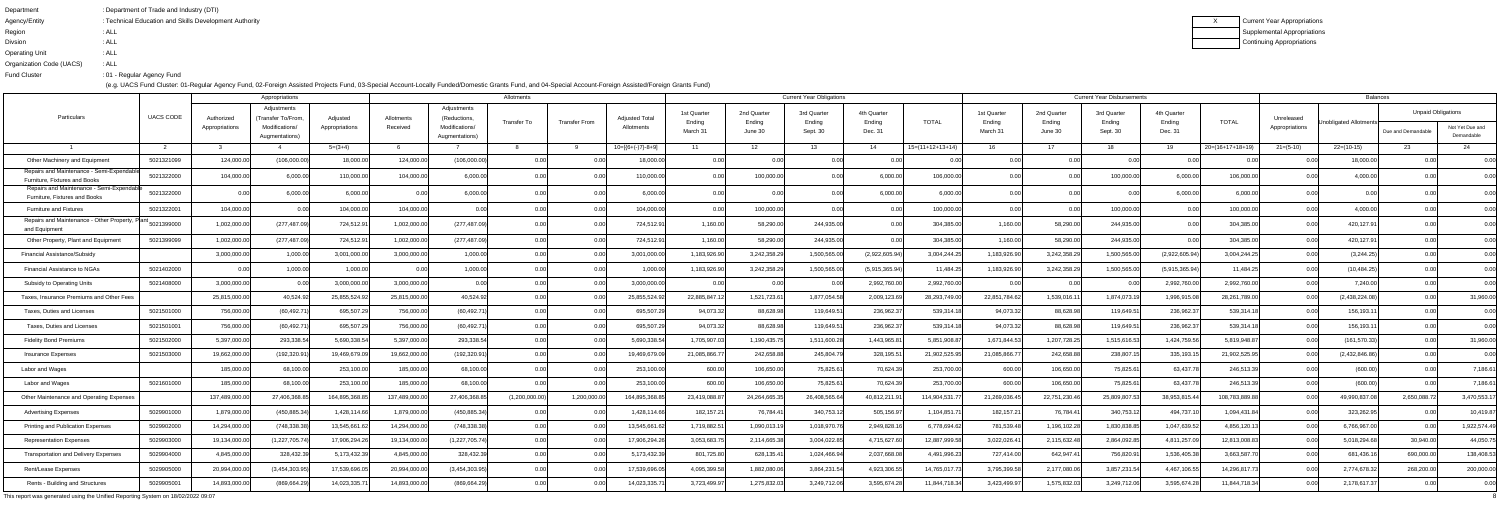| Department               | : Department of Trade and Industry (DTI)               |
|--------------------------|--------------------------------------------------------|
| Agency/Entity            | : Technical Education and Skills Development Authority |
| Region                   | : ALL                                                  |
| <b>Divsion</b>           | : ALL                                                  |
| <b>Operating Unit</b>    | : ALL                                                  |
| Organization Code (UACS) | : ALL                                                  |
| <b>Fund Cluster</b>      | :01 - Regular Agency Fund                              |

|                                                                                   |            | Appropriations               |                                                     |                            |                        |                                               | Allotments         |                      |                                     |                                   |                                  | <b>Current Year Obligations</b>   |                                  |                    |                                   |                                  | <b>Current Year Disbursements</b> |                                  |                    |                              | Balances               |                                                 |                 |
|-----------------------------------------------------------------------------------|------------|------------------------------|-----------------------------------------------------|----------------------------|------------------------|-----------------------------------------------|--------------------|----------------------|-------------------------------------|-----------------------------------|----------------------------------|-----------------------------------|----------------------------------|--------------------|-----------------------------------|----------------------------------|-----------------------------------|----------------------------------|--------------------|------------------------------|------------------------|-------------------------------------------------|-----------------|
| Particulars                                                                       | UACS CODE  | Authorized<br>Appropriations | Adjustments<br>(Transfer To/From.<br>Modifications/ | Adjusted<br>Appropriations | Allotments<br>Received | Adjustments<br>(Reductions,<br>Modifications/ | <b>Transfer To</b> | <b>Transfer From</b> | <b>Adjusted Total</b><br>Allotments | 1st Quarter<br>Ending<br>March 31 | 2nd Quarter<br>Ending<br>June 30 | 3rd Quarter<br>Ending<br>Sept. 30 | 4th Quarter<br>Ending<br>Dec. 31 | <b>TOTAL</b>       | 1st Quarter<br>Ending<br>March 31 | 2nd Quarter<br>Ending<br>June 30 | 3rd Quarter<br>Ending<br>Sept. 30 | 4th Quarter<br>Ending<br>Dec. 31 | <b>TOTAL</b>       | Unreleased<br>Appropriations | Unobligated Allotments | <b>Unpaid Obligations</b><br>Due and Demandable | Not Yet Due and |
|                                                                                   |            |                              | Augmentations)                                      |                            |                        | Augmentations)                                |                    |                      |                                     |                                   |                                  |                                   |                                  |                    |                                   |                                  |                                   |                                  |                    |                              |                        |                                                 | Demandable      |
|                                                                                   |            |                              |                                                     | $5=(3+4)$                  |                        |                                               |                    |                      | $10=[(6+(-)7)-8+9]$                 |                                   | 12                               | 13.                               | 14                               | $15=(11+12+13+14)$ | 16                                | 17                               | 18                                | - 19                             | $20=(16+17+18+19)$ | $21 = (5-10)$                | $22=(10-15)$           | -23                                             | 24              |
| Other Machinery and Equipment                                                     | 5021321099 | 124,000.00                   | (106,000.00)                                        | 18,000.0                   | 124,000.0              | (106,000.00)                                  |                    |                      | 18,000.                             |                                   |                                  |                                   |                                  |                    | 0.00                              |                                  |                                   |                                  |                    |                              | 18,000.00              |                                                 | 0.00            |
| Repairs and Maintenance - Semi-Expendable<br><b>Furniture, Fixtures and Books</b> | 5021322000 | 104,000.00                   | 6,000.00                                            | 110,000.0                  | 104,000.0              | 6,000.00                                      | 0.00               |                      | 110,000.00                          | 0.00                              | 100,000.0                        |                                   | 6,000.00                         | 106,000.00         | 0.00                              | 0.00                             | 100,000.0                         | 6,000.0                          | 106,000.00         |                              | 4,000.00               |                                                 | 0.00            |
| Repairs and Maintenance - Semi-Expendabl<br>Furniture, Fixtures and Books         | 5021322000 | 0.00                         | 6,000.00                                            | 6,000.0                    | 0 O                    | 6,000.00                                      | 0.00               | 0.001                | 6,000.00                            | 0.00                              |                                  |                                   | 6,000.00                         | 6,000.00           | 0.00                              | n nr                             | 0 <sub>0</sub>                    | 6,000.00                         | 6,000.00           |                              | 0.00                   |                                                 | 0.00            |
| <b>Furniture and Fixtures</b>                                                     | 5021322001 | 104,000.00                   |                                                     | 104,000.0                  | 104,000.0              |                                               |                    |                      | 104,000.0                           |                                   | 100,000.0                        |                                   |                                  | 100,000.00         | 0.00                              | 0.0                              | 100,000.0                         |                                  | 100,000.00         | 0.00                         | 4,000.00               |                                                 | 0.00            |
| Repairs and Maintenance - Other Property, Plant<br>and Equipment                  | 5021399000 | 1,002,000.00                 | (277, 487.09)                                       | 724,512.9                  | 1,002,000.0            | (277, 487.0)                                  | 0.00               |                      | 724,512.9                           | 1,160.00                          | 58,290.                          | 244,935.0                         | 0.00                             | 304,385.0          | 1,160.00                          | 58,290.0                         | 244,935.0                         |                                  | 304,385.00         | 0.OO                         | 420,127.9              |                                                 | 0.00            |
| Other Property, Plant and Equipment                                               | 5021399099 | 1,002,000.00                 | (277, 487.09)                                       | 724,512.9                  | 1,002,000.0            | (277, 487.09)                                 | 0.00               | 0.00                 | 724,512.9                           | 1,160.00                          | 58,290.0                         | 244,935.00                        | 0.00                             | 304,385.00         | 1,160.00                          | 58,290.00                        | 244,935.00                        | 0.0(                             | 304,385.00         | 0.00                         | 420,127.91             |                                                 | 0.00            |
| Financial Assistance/Subsid <sub>)</sub>                                          |            | 3,000,000.00                 | 1,000.0                                             | 3,001,000.0                | 3,000,000.0            | 1,000.0                                       |                    |                      | 3,001,000.0                         | 1,183,926.90                      | 3,242,358.2                      | 1,500,565.0                       | (2,922,605.94)                   | 3,004,244.2        | 1,183,926.90                      | 3,242,358.2                      | 1,500,565.0                       | (2,922,605.94)                   | 3,004,244.25       | 0.00                         | (3,244.25)             |                                                 | 0.00            |
| <b>Financial Assistance to NGAs</b>                                               | 5021402000 |                              | 1,000.00                                            | 1,000.0                    |                        | 1,000.0                                       |                    |                      | 1,000.0                             | 1,183,926.90                      | 3,242,358.29                     | 1,500,565.0                       | (5,915,365.94)                   | 11,484.25          | 1,183,926.90                      | 3,242,358.29                     | 1,500,565.0                       | (5,915,365.94)                   | 11,484.25          | 0.00                         | (10, 484.25)           |                                                 | 0.00            |
| Subsidy to Operating Units                                                        | 5021408000 | 3,000,000.00                 | 0.00                                                | 3,000,000.0                | 3,000,000.0            |                                               | 0.00               | 0.00                 | 3,000,000.00                        | 0.00                              |                                  |                                   | 2,992,760.00                     | 2,992,760.00       | 0.00                              | 0.0                              | n n                               | 2,992,760.00                     | 2,992,760.00       | 0.00                         | 7,240.00               | 0.00                                            | 0.00            |
| Taxes, Insurance Premiums and Other Fees                                          |            | 25,815,000.00                | 40,524.92                                           | 25,855,524.9               | 25,815,000.0           | 40,524.92                                     |                    |                      | 25,855,524.9                        | 22,885,847.                       | 1,521,723.6                      | 1,877,054.5                       | 2,009,123.69                     | 28,293,749.00      | 22,851,784.62                     | 1,539,016.1                      | 1,874,073.1                       | 1,996,915.0                      | 28,261,789.00      | 0.OC                         | (2,438,224.08)         | 0.00 <sub>l</sub>                               | 31,960.00       |
| Taxes, Duties and Licenses                                                        | 5021501000 | 756,000.00                   | (60, 492.71)                                        | 695,507.                   | 756,000.0              | (60, 492.7)                                   | 0.00               |                      | 695,507.2                           | 94,073.32                         | 88,628.9                         | 119,649.5                         | 236,962.37                       | 539,314.1          | 94,073.32                         | 88,628.98                        | 119,649.5                         | 236,962.3                        | 539,314.18         | 0.00                         | 156,193.1              | 0.00 <sub>l</sub>                               | 0.00            |
| Taxes, Duties and Licenses                                                        | 5021501001 | 756,000.00                   | (60, 492.71)                                        | 695,507.2                  | 756,000.0              | (60, 492.7)                                   | 0.00               | 0.00                 | 695,507.2                           | 94,073.32                         | 88,628.9                         | 119,649.5                         | 236,962.3                        | 539,314.1          | 94,073.32                         | 88,628.98                        | 119,649.5                         | 236,962.3                        | 539,314.18         | 0.00                         | 156, 193.1             | 0.001                                           | 0.00            |
| <b>Fidelity Bond Premiums</b>                                                     | 5021502000 | 5,397,000.00                 | 293,338.54                                          | 5,690,338.5                | 5,397,000.0            | 293,338.5                                     | 0.00               |                      | 5,690,338.                          | 1,705,907.0                       | 1,190,435.7                      | 1,511,600.2                       | 1,443,965.8                      | 5,851,908.8        | 1,671,844.5                       | 1,207,728.25                     | 1,515,616.53                      | 1,424,759.5                      | 5,819,948.87       | 0.001                        | (161, 570.33)          | 0.00                                            | 31,960.00       |
| <b>Insurance Expenses</b>                                                         | 5021503000 | 19,662,000.00                | (192, 320.91)                                       | 19,469,679.0               | 19,662,000.0           | (192,320.91                                   | 0.00               |                      | 19,469,679.0                        | 21,085,866.                       | 242,658.8                        | 245,804.7                         | 328,195.5                        | 21,902,525.95      | 21,085,866.7                      | 242,658.88                       | 238,807.1                         | 335,193.1                        | 21,902,525.95      | 0.00                         | (2,432,846.86)         |                                                 | 0.00            |
| Labor and Wages                                                                   |            | 185,000.00                   | 68,100.00                                           | 253,100.0                  | 185,000.0              | 68,100.0                                      | 0.00               | 0.00                 | 253,100.00                          | 600.00                            | 106,650.0                        | 75,825.6                          | 70,624.39                        | 253,700.00         | 600.00                            | 106,650.00                       | 75,825.6                          | 63,437.7                         | 246,513.39         | 0.00                         | (600.00)               | 0.00 <sub>l</sub>                               | 7,186.61        |
| Labor and Wages                                                                   | 5021601000 | 185,000.00                   | 68,100.00                                           | 253,100.0                  | 185,000.0              | 68,100.0                                      | 0.00               |                      | 253,100.00                          | 600.00                            | 106,650.0                        | 75,825.6                          | 70,624.39                        | 253,700.00         | 600.00                            | 106,650.0                        | 75,825.6                          | 63,437.7                         | 246,513.39         |                              | (600.00)               |                                                 | 7,186.61        |
| Other Maintenance and Operating Expenses                                          |            | 137,489,000.0                | 27,406,368.8                                        | 164,895,368.8              | 137,489,000.0          | 27,406,368.8                                  | (1,200,000.00)     | 1,200,000.00         | 164,895,368.8                       | 23,419,088.8                      | 24,264,665.3                     | 26,408,565.6                      | 40,812,211.9                     | 114,904,531.7      | 21,269,036.45                     | 22,751,230.46                    | 25,809,807.5                      | 38,953,815.4                     | 108,783,889.88     |                              | 49,990,837.0           | 2,650,088.7                                     | 3,470,553.17    |
| <b>Advertising Expenses</b>                                                       | 5029901000 | 1,879,000.00                 | (450, 885.34)                                       | 1,428,114.66               | 1,879,000.00           | (450, 885.34)                                 | <b>U.UU</b>        | U.UU                 | 1,428,114.66                        | 182,157.21                        | 76,784.41                        | 340,753.12                        | 505,156.97                       | 1,104,851.7        | 182,157.21                        | 76,784.41                        | 340,753.12                        | 494,737.1                        | 1,094,431.84       | <b>U.UU</b>                  | 323,262.95             | <b>U.UU</b>                                     | 10,419.87       |
| <b>Printing and Publication Expenses</b>                                          | 5029902000 | 14,294,000.00                | (748, 338.38)                                       | 13,545,661.62              | 14,294,000.00          | (748, 338.38)                                 | 0.00               | 0.00                 | 13,545,661.62                       | 1,719,882.51                      | 1,090,013.19                     | 1,018,970.76                      | 2,949,828.16                     | 6,778,694.62       | 781,539.48                        | 1,196,102.28                     | 1,830,838.85                      | 1,047,639.52                     | 4,856,120.13       | 0.00                         | 6,766,967.00           | 0.00                                            | 1,922,574.49    |
| <b>Representation Expenses</b>                                                    | 5029903000 | 19,134,000.00                | (1,227,705.74)                                      | 17,906,294.26              | 19,134,000.0           | (1,227,705.74)                                | 0.00               | 0.00                 | 17,906,294.26                       | 3,053,683.75                      | 2,114,665.38                     | 3,004,022.85                      | 4,715,627.60                     | 12,887,999.58      | 3,022,026.41                      | 2,115,632.48                     | 2,864,092.85                      | 4,811,257.09                     | 12,813,008.83      | 0.00                         | 5,018,294.68           | 30,940.00                                       | 44,050.75       |
| <b>Transportation and Delivery Expenses</b>                                       | 5029904000 | 4,845,000.00                 | 328,432.39                                          | 5,173,432.39               | 4,845,000.00           | 328,432.39                                    | 0.00               | 0.00                 | 5,173,432.39                        | 801,725.80                        | 628,135.41                       | 1,024,466.94                      | 2,037,668.08                     | 4,491,996.23       | 727,414.00                        | 642,947.41                       | 756,820.91                        | 1,536,405.38                     | 3,663,587.70       | 0.00                         | 681,436.16             | 690,000.00                                      | 138,408.53      |
| Rent/Lease Expenses                                                               | 5029905000 | 20,994,000.00                | (3,454,303.95)                                      | 17,539,696.0               | 20,994,000.0           | (3,454,303.95)                                | 0.00               | 0.001                | 17,539,696.0                        | 4,095,399.58                      | 1,882,080.06                     | 3,864,231.54                      | 4,923,306.55                     | 14,765,017.73      | 3,795,399.58                      | 2,177,080.06                     | 3,857,231.54                      | 4,467,106.55                     | 14,296,817.73      | 0.00                         | 2,774,678.32           | 268,200.00                                      | 200,000.00      |
| Rents - Building and Structures                                                   | 5029905001 | 14,893,000.00                | (869, 664.29)                                       | 14,023,335.7               | 14,893,000.0           | (869, 664.29)                                 | 0.00               | 0.00                 | 14,023,335.7                        | 3,723,499.97                      | 1,275,832.03                     | 3,249,712.06                      | 3,595,674.28                     | 11,844,718.34      | 3,423,499.97                      | 1,575,832.03                     | 3,249,712.06                      | 3,595,674.28                     | 11,844,718.34      | 0.00                         | 2,178,617.37           | 0.00                                            | 0.00            |
|                                                                                   |            |                              |                                                     |                            |                        |                                               |                    |                      |                                     |                                   |                                  |                                   |                                  |                    |                                   |                                  |                                   |                                  |                    |                              |                        |                                                 |                 |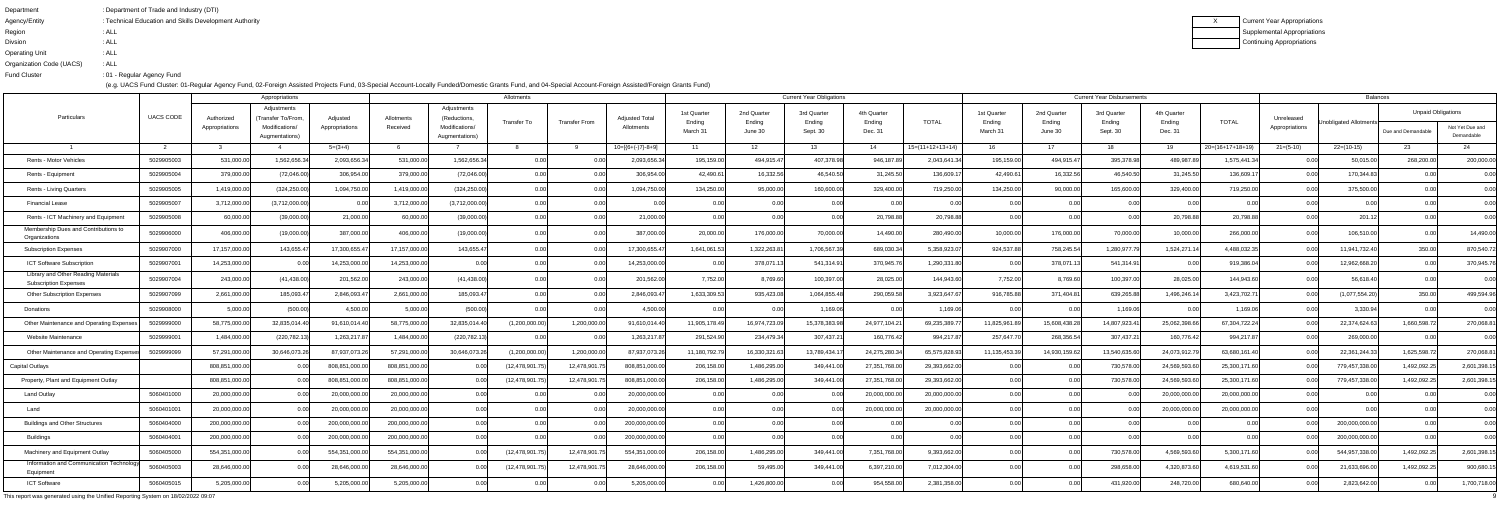| Department               | : Department of Trade and Industry (DTI)               |
|--------------------------|--------------------------------------------------------|
| Agency/Entity            | : Technical Education and Skills Development Authority |
| Region                   | : ALL                                                  |
| <b>Divsion</b>           | : ALL                                                  |
| <b>Operating Unit</b>    | : ALL                                                  |
| Organization Code (UACS) | : ALL                                                  |
| <b>Fund Cluster</b>      | :01 - Regular Agency Fund                              |

|                                                                     |                  |                | Appropriations                                     |                |                        |                                               | Allotments         |                      |                                     |                       |                       | <b>Current Year Obligations</b> |                       |                    |                       |                       | <b>Current Year Disbursements</b> |                       |                    |                              | <b>Balances</b>        |                           |                 |
|---------------------------------------------------------------------|------------------|----------------|----------------------------------------------------|----------------|------------------------|-----------------------------------------------|--------------------|----------------------|-------------------------------------|-----------------------|-----------------------|---------------------------------|-----------------------|--------------------|-----------------------|-----------------------|-----------------------------------|-----------------------|--------------------|------------------------------|------------------------|---------------------------|-----------------|
| Particulars                                                         | <b>UACS CODE</b> | Authorized     | Adjustments<br>(Transfer To/From<br>Modifications/ | Adjusted       | Allotments<br>Received | Adjustments<br>(Reductions,<br>Modifications/ | <b>Transfer To</b> | <b>Transfer From</b> | <b>Adjusted Total</b><br>Allotments | 1st Quarter<br>Ending | 2nd Quarter<br>Ending | 3rd Quarter<br>Ending           | 4th Quarter<br>Ending | <b>TOTAL</b>       | 1st Quarter<br>Ending | 2nd Quarter<br>Ending | 3rd Quarter<br>Ending             | 4th Quarter<br>Ending | <b>TOTAL</b>       | Unreleased<br>Appropriations | Unobligated Allotments | <b>Unpaid Obligations</b> | Not Yet Due and |
|                                                                     |                  | Appropriations | Augmentations)                                     | Appropriations |                        | Augmentations)                                |                    |                      |                                     | March 31              | June 30               | Sept. 30                        | Dec. 31               |                    | March 31              | June 30               | Sept. 30                          | Dec. 31               |                    |                              |                        | Due and Demandable        | Demandable      |
|                                                                     |                  |                |                                                    | $5=(3+4)$      |                        |                                               |                    |                      | $10=[(6+(-)7)-8+9]$                 |                       | - 12                  | 13.                             | 14                    | $15=(11+12+13+14)$ | 16                    | 17                    | 18                                | 19                    | $20=(16+17+18+19)$ | $21 = (5-10)$                | $22=(10-15)$           | -23                       | 24              |
| Rents - Motor Vehicles                                              | 5029905003       | 531,000.00     | 1,562,656.34                                       | 2,093,656.3    | 531,000.0              | 1,562,656.3                                   |                    |                      | 2,093,656.3                         | 195,159.00            | 494,915.4             | 407,378.98                      | 946,187.89            | 2,043,641.3        | 195,159.00            | 494,915.47            | 395,378.98                        | 489,987.8             | 1,575,441.34       |                              | 50,015.00              | 268,200.00                | 200,000.00      |
| Rents - Equipment                                                   | 5029905004       | 379,000.00     | (72,046.00)                                        | 306,954.0      | 379,000.0              | (72,046.00)                                   | 0.00               |                      | 306,954.0                           | 42,490.61             | 16,332.5              | 46,540.5                        | 31,245.50             | 136,609.1          | 42,490.61             | 16,332.56             | 46,540.50                         | 31,245.5              | 136,609.1          | 0.001                        | 170,344.83             | 0.00 <sub>l</sub>         | 0.00            |
| Rents - Living Quarters                                             | 5029905005       | 1,419,000.00   | (324, 250.00)                                      | 1,094,750.0    | 1,419,000.0            | (324, 250.00)                                 | 0.00               | 0.00                 | 1,094,750.00                        | 134,250.00            | 95,000.00             | 160,600.0                       | 329,400.00            | 719,250.00         | 134,250.00            | 90,000.00             | 165,600.00                        | 329,400.00            | 719,250.00         | 0.00                         | 375,500.00             |                           | 0.00            |
| <b>Financial Lease</b>                                              | 5029905007       | 3,712,000.00   | (3,712,000.00)                                     |                | 3,712,000.0            | (3,712,000.00)                                | 0.00               |                      |                                     | _റ ററ                 |                       |                                 | 0.00                  | 0.O                | 0.00                  | 0.00                  | $\cap$ $\cap$                     |                       | 0.00               | በ በበ                         | 0.001                  |                           | 0.00            |
| Rents - ICT Machinery and Equipment                                 | 5029905008       | 60,000.00      | (39,000.00)                                        | 21,000.0       | 60,000.0               | (39,000.00)                                   | 0.00               |                      | 21,000.00                           |                       |                       |                                 | 20,798.88             | 20,798.88          | 0.00                  |                       |                                   | 20,798.8              | 20,798.88          |                              | 201.12                 |                           | 0.00            |
| Membership Dues and Contributions to<br>Organizations               | 5029906000       | 406,000.00     | (19,000.00)                                        | 387,000.0      | 406,000.0              | (19,000.00)                                   | 0.00               |                      | 387,000.00                          | 20,000.00             | 176,000.0             | 70,000.0                        | 14,490.00             | 280,490.00         | 10,000.00             | 176,000.00            | 70,000.0                          | 10,000.0              | 266,000.00         |                              | 106,510.00             | 0.001                     | 14,490.00       |
| <b>Subscription Expenses</b>                                        | 5029907000       | 17,157,000.00  | 143,655.47                                         | 17,300,655.4   | 17,157,000.0           | 143,655.4                                     | 0.00               | 0.001                | 17,300,655.47                       | 1,641,061.53          | 1,322,263.81          | 1,706,567.3                     | 689,030.34            | 5,358,923.0        | 924,537.88            | 758,245.54            | 1,280,977.7                       | 1,524,271.1           | 4,488,032.35       | 0.00                         | 11,941,732.40          | 350.00                    | 870,540.72      |
| ICT Software Subscription                                           | 5029907001       | 14,253,000.00  |                                                    | 14,253,000.0   | 14,253,000.0           |                                               |                    |                      | 14,253,000.00                       |                       | 378,071.              | 541,314.9                       | 370,945.76            | 1,290,331.80       | 0.00                  | 378,071.13            | 541,314.91                        |                       | 919,386.04         | 0.00                         | 12,962,668.20          | 0.00                      | 370,945.76      |
| Library and Other Reading Materials<br><b>Subscription Expenses</b> | 5029907004       | 243,000.00     | (41, 438.00)                                       | 201,562.0      | 243,000.0              | (41,438.00                                    | 0.00               | 0.001                | 201,562.00                          | 7,752.00              | 8,769.60              | 100,397.00                      | 28,025.00             | 144,943.60         | 7,752.00              | 8,769.60              | 100,397.00                        | 28,025.00             | 144,943.60         | 0.00                         | 56,618.40              | 0.00                      | 0.00            |
| <b>Other Subscription Expenses</b>                                  | 5029907099       | 2,661,000.00   | 185,093.47                                         | 2,846,093.4    | 2,661,000.0            | 185,093.4                                     | 0.00               |                      | 2,846,093.4                         | 1,633,309.53          | 935,423.0             | 1,064,855.4                     | 290,059.58            | 3,923,647.6        | 916,785.88            | 371,404.81            | 639,265.88                        | 1,496,246.1           | 3,423,702.7        | 0.00                         | (1,077,554.20)         | 350.00                    | 499,594.96      |
| Donations                                                           | 5029908000       | 5,000.00       | (500.00)                                           | 4,500.0        | 5,000.0                | (500.00)                                      | 0.00               | _0.00l               | 4,500.00                            | 0.00                  | 0.00                  | 1,169.0                         | 0.00                  | 1,169.06           | 0.00                  | 0.00                  | 1,169.06                          |                       | 1,169.06           | 0.00                         | 3,330.94               | 0.00 <sub>l</sub>         | 0.00            |
| Other Maintenance and Operating Expense                             | 5029999000       | 58,775,000.00  | 32,835,014.40                                      | 91,610,014.40  | 58,775,000.0           | 32,835,014.4                                  | (1,200,000.00)     | 1,200,000.00         | 91,610,014.4                        | 11,905,178.49         | 16,974,723.0          | 15,378,383.9                    | 24,977,104.2          | 69,235,389.7       | 11,825,961.8          | 15,608,438.2          | 14,807,923.4                      | 25,062,398.6          | 67,304,722.24      | 0.00                         | 22,374,624.63          | 1,660,598.72              | 270,068.81      |
| Website Maintenance                                                 | 5029999001       | 1,484,000.00   | (220,782.13                                        | 1,263,217.8    | 1,484,000.0            | (220, 782.1)                                  | 0.00               |                      | 1,263,217.8                         | 291,524.90            | 234,479.34            | 307,437.2                       | 160,776.42            | 994,217.8          | 257,647.70            | 268,356.54            | 307,437.21                        | 160,776.42            | 994,217.87         | 0.001                        | 269,000.00             | 0.00                      | 0.00            |
| Other Maintenance and Operating Expens                              | 5029999099       | 57,291,000.00  | 30,646,073.26                                      | 87,937,073.2   | 57,291,000.0           | 30,646,073.2                                  | (1,200,000.00)     | 1,200,000.00         | 87,937,073.26                       | 11,180,792.           | 16,330,321.6          | 13,789,434.1                    | 24,275,280.34         | 65,575,828.93      | 11,135,453.39         | 14,930,159.62         | 13,540,635.6                      | 24,073,912.7          | 63,680,161.40      | 0.00                         | 22,361,244.33          | 1,625,598.72              | 270,068.81      |
| <b>Capital Outlays</b>                                              |                  | 808,851,000.00 |                                                    | 808,851,000.   | 808,851,000.0          |                                               | (12, 478, 901.7    | 12,478,901.          | 808,851,000.00                      | 206,158.00            | 1,486,295.0           | 349,441.0                       | 27,351,768.00         | 29,393,662.00      | 0.00                  | 0.00                  | 730,578.00                        | 24,569,593.6          | 25,300,171.60      | 0.00                         | 779,457,338.00         | 1,492,092.2               | 2,601,398.15    |
| Property, Plant and Equipment Outlay                                |                  | 808,851,000.00 | 0.00                                               | 808,851,000.   | 808,851,000.0          |                                               | (12, 478, 901.7    | 12,478,901           | 808,851,000.00                      | 206,158.00            | 1,486,295.0           | 349,441.0                       | 27,351,768.00         | 29,393,662.00      | 0.00                  | 0.00                  | 730,578.00                        | 24,569,593.6          | 25,300,171.60      | 0.00                         | 779,457,338.00         | 1,492,092.25              | 2,601,398.15    |
| <b>Land Outlay</b>                                                  | 5060401000       | 20,000,000.00  | 0.00                                               | 20,000,000.0   | 20,000,000.0           |                                               | 0.00               |                      | 20,000,000.00                       | 0.00                  |                       |                                 | 20,000,000.00         | 20,000,000.00      | 0.00                  | 0.00                  | 0.0                               | 20,000,000.0          | 20,000,000.00      | 0.00                         | 0.00                   |                           | 0.00            |
| Land                                                                | 5060401001       | 20.000.000.00  |                                                    | 20,000,000.0   | 20.000.000.            |                                               |                    |                      | 20.000.000.00                       |                       |                       |                                 | 0.000.000.0           | 20,000,000,00      |                       |                       |                                   | 20,000,000,00         | 20.000.000.00      | 0 U U                        |                        |                           |                 |
| <b>Buildings and Other Structures</b>                               | 5060404000       | 200,000,000.00 | 0.00                                               | 200,000,000.0  | 200,000,000.0          |                                               | 0.00               |                      | 200,000,000.00                      | 0.00                  |                       |                                 | 0.00                  | 0.00               | 0.00                  | 0.00                  | 0.00                              |                       | 0.00               | 0.00                         | 200,000,000.00         | 0.00                      | 0.00            |
| Buildings                                                           | 5060404001       | 200,000,000.00 | 0.00                                               | 200,000,000.00 | 200,000,000.0          | 0.00                                          | 0.00               | 0.00l                | 200,000,000.00                      | 0.00                  | 0.00                  | 0.00                            | 0.00                  | 0.00               | 0.00                  | 0.00                  | 0.00                              |                       | 0.00               | 0.00                         | 200,000,000.00         | 0.00                      | 0.00            |
| Machinery and Equipment Outlay                                      | 5060405000       | 554,351,000.00 | 0.00                                               | 554,351,000.0  | 554,351,000.00         |                                               | (12,478,901.75     | 12,478,901.7         | 554,351,000.00                      | 206,158.00            | 1,486,295.00          | 349,441.00                      | 7,351,768.00          | 9,393,662.00       | 0.00                  | 0.00                  | 730,578.00                        | 4,569,593.60          | 5,300,171.60       | 0.00                         | 544,957,338.00         | 1,492,092.25              | 2,601,398.15    |
| Information and Communication Technology<br>Equipment               | 5060405003       | 28,646,000.00  | 0.00                                               | 28,646,000.0   | 28,646,000.0           |                                               | (12, 478, 901.75)  | 12,478,901.7         | 28,646,000.00                       | 206,158.00            | 59,495.00             | 349,441.00                      | 6,397,210.00          | 7,012,304.00       | 0.00                  | 0.00                  | 298,658.00                        | 4,320,873.60          | 4,619,531.60       | 0.00                         | 21,633,696.00          | 1,492,092.25              | 900,680.15      |
| <b>ICT Software</b>                                                 | 5060405015       | 5,205,000.00   | 0.00                                               | 5,205,000.0    | 5,205,000.0            | 0.00                                          | 0.00               | 0.00                 | 5,205,000.00                        | 0.00                  | 1,426,800.00          | 0.00                            | 954,558.00            | 2,381,358.00       | 0.00                  | 0.00                  | 431,920.00                        | 248,720.00            | 680,640.00         | 0.00                         | 2,823,642.00           | 0.00                      | 1,700,718.00    |
|                                                                     |                  |                |                                                    |                |                        |                                               |                    |                      |                                     |                       |                       |                                 |                       |                    |                       |                       |                                   |                       |                    |                              |                        |                           |                 |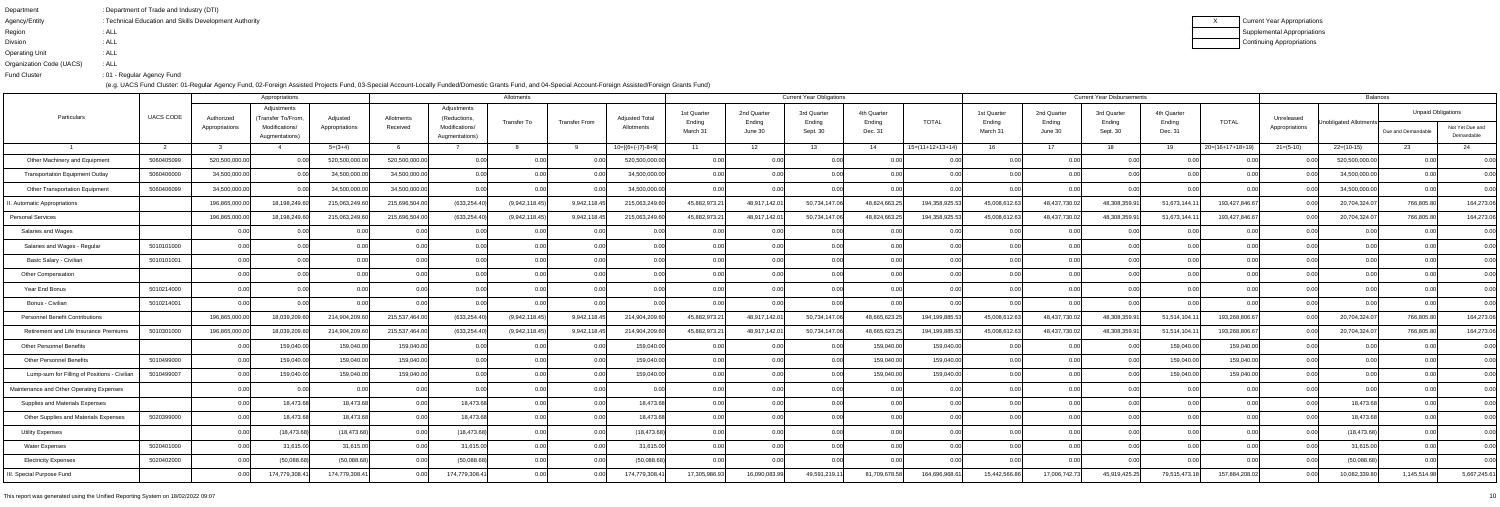| Department               | : Department of Trade and Industry (DTI)               |
|--------------------------|--------------------------------------------------------|
| Agency/Entity            | : Technical Education and Skills Development Authority |
| Region                   | : ALL                                                  |
| <b>Divsion</b>           | : ALL                                                  |
| <b>Operating Unit</b>    | : ALL                                                  |
| Organization Code (UACS) | : ALL                                                  |
| <b>Fund Cluster</b>      | :01 - Regular Agency Fund                              |
|                          |                                                        |

| Appropriations                               |                  |                              |                                                                       |                            |                        |                                                                | Allotments     |                      |                                     |                                  |                                  | <b>Current Year Obligations</b>   |                                  |                    |                                  |                                  | <b>Current Year Disbursements</b> |                                  |                    |                              | Balances               |                                                 |                               |
|----------------------------------------------|------------------|------------------------------|-----------------------------------------------------------------------|----------------------------|------------------------|----------------------------------------------------------------|----------------|----------------------|-------------------------------------|----------------------------------|----------------------------------|-----------------------------------|----------------------------------|--------------------|----------------------------------|----------------------------------|-----------------------------------|----------------------------------|--------------------|------------------------------|------------------------|-------------------------------------------------|-------------------------------|
| Particulars                                  | <b>UACS CODE</b> | Authorized<br>Appropriations | Adjustments<br>(Transfer To/From.<br>Modifications/<br>Augmentations) | Adjusted<br>Appropriations | Allotments<br>Received | Adjustments<br>(Reductions<br>Modifications/<br>Augmentations) | Transfer To    | <b>Transfer From</b> | <b>Adjusted Total</b><br>Allotments | 1st Quarter<br>Ending<br>March 3 | 2nd Quarter<br>Ending<br>June 30 | 3rd Quarter<br>Ending<br>Sept. 30 | 4th Quarter<br>Ending<br>Dec. 31 | <b>TOTAL</b>       | 1st Quarter<br>Ending<br>March 3 | 2nd Quarter<br>Ending<br>June 30 | 3rd Quarter<br>Ending<br>Sept. 30 | 4th Quarter<br>Ending<br>Dec. 31 | <b>TOTAL</b>       | Unreleased<br>Appropriations | Unobligated Allotments | <b>Unpaid Obligations</b><br>Due and Demandable | Not Yet Due and<br>Demandable |
|                                              |                  |                              |                                                                       | $5=(3+4)$                  |                        |                                                                |                |                      | $10=[(6+(-7)-8+9]$                  | 11                               | 12                               | 13                                | 14                               | $15=(11+12+13+14)$ | 16                               | 17                               | 18                                | 19                               | $20=(16+17+18+19)$ | $21 = (5-10)$                | $22=(10-15)$           | 23                                              | 24                            |
| Other Machinery and Equipment                | 5060405099       | 520,500,000.00               | 0.00                                                                  | 520,500,000.0              | 520,500,000.00         |                                                                |                |                      | 520,500,000.00                      | 0.00                             | 0.00                             |                                   | 0.00                             | 0.00               | 0.00                             | 0.00                             | 0.00                              |                                  | 0.00               |                              | 520,500,000.00         | n nn                                            | 0.00                          |
| <b>Transportation Equipment Outlay</b>       | 5060406000       | 34,500,000.00                | 0.001                                                                 | 34,500,000.0               | 34,500,000.0           |                                                                |                |                      | 34,500,000.00                       | 0.00                             | 0.00                             |                                   |                                  |                    | 0.00                             |                                  | 0.00                              |                                  |                    |                              | 34,500,000.00          |                                                 | 0.00                          |
| <b>Other Transportation Equipment</b>        | 5060406099       | 34,500,000.00                | 0.00                                                                  | 34,500,000.0               | 34,500,000.00          | 0.00                                                           |                | 0.00                 | 34,500,000.00                       | 0.00                             | 0.00                             | 0.0(                              | 0.00                             | 0.00               | 0.00                             | 0.00                             | 0.00                              |                                  | 0.00               | 0.00                         | 34,500,000.00          | 0.00                                            | 0.00                          |
| . Automatic Appropriations                   |                  | 196,865,000.0                | 18,198,249.60                                                         | 215,063,249.6              | 215,696,504.0          | (633, 254.40)                                                  | (9,942,118.45) | 9,942,118.4          | 215,063,249.6                       | 45,882,973.2                     | 48,917,142.0                     | 50,734,147.0                      | 48,824,663.2                     | 194,358,925.5      | 45,008,612.63                    | 48,437,730.02                    | 48,308,359.9                      | 51,673,144.1                     | 193,427,846.67     | 0.00                         | 20,704,324.07          | 766,805.80                                      | 164,273.06                    |
| <b>Personal Services</b>                     |                  | 196,865,000.0                | 18,198,249.60                                                         | 215,063,249.60             | 215,696,504.00         | (633, 254.40)                                                  | (9,942,118.45) | 9,942,118.45         | 215,063,249.60                      | 45,882,973.2                     | 48,917,142.01                    | 50,734,147.0                      | 48,824,663.2                     | 194,358,925.5      | 45,008,612.63                    | 48,437,730.02                    | 48,308,359.9                      | 51,673,144.1                     | 193,427,846.67     | 0.00                         | 20,704,324.0           | 766,805.80                                      | 164,273.06                    |
| Salaries and Wages                           |                  | 0.00                         | -0.00                                                                 |                            | 0.00                   |                                                                |                | 0.00                 | 0.00                                | 0.00                             | 0.00                             | 0.00                              | 0.00                             | 0.00               | 0.00                             | 0.00                             | 0.00                              | 0.00                             | 0.00               | 0.00 <sub>l</sub>            | 0.00                   | 0.00                                            | 0.00                          |
| Salaries and Wages - Regular                 | 5010101000       | 0.00                         | 0.00                                                                  | 0.00                       | 0.00                   |                                                                | 0.00           | 0.00                 | 0.00                                | 0.00                             | 0.00                             |                                   | 0.00                             | 0.00               | 0.00                             | 0.00                             | 0.00                              |                                  | 0.00               | 0.00                         | 0.00                   |                                                 | 0.00                          |
| Basic Salary - Civilian                      | 5010101001       |                              | 0.00                                                                  |                            | 0.00                   |                                                                |                |                      | 0.00                                |                                  | 0.00                             |                                   | 0.00                             |                    | 0.00                             |                                  | 0.00                              |                                  |                    |                              | 0.00                   |                                                 | 0.00                          |
| Other Compensation                           |                  | 0.00                         | 0.00                                                                  | 0.00                       | 0.00                   | n nr                                                           | 0.00           | 0.00                 | 0.00                                | 0.00                             | 0.00                             | 0.00                              | 0.00                             | 0.00               | 0.00                             | 0.00                             | 0.00                              | n nr                             | 0.00               | 0.00                         | 0.00                   | 0.OO                                            | 0.00                          |
| Year End Bonus                               | 5010214000       | 0.00 <sub>l</sub>            | 0.00                                                                  | 0.00                       | 0.00                   |                                                                |                | 0.00                 | 0.00                                | 0.00                             | 0.00                             |                                   | 0.00                             | n nr               | 0.00                             |                                  | 0.00                              |                                  | 0.00               |                              | 0.00                   |                                                 | 0.00                          |
| Bonus - Civilian                             | 5010214001       |                              |                                                                       |                            |                        |                                                                |                |                      |                                     |                                  | 0.0                              |                                   |                                  |                    | 0.0                              |                                  | n nr                              |                                  |                    |                              |                        |                                                 | 0.00                          |
| <b>Personnel Benefit Contributions</b>       |                  | 196,865,000.00               | 18,039,209.60                                                         | 214,904,209.6              | 215,537,464.0          | (633, 254.40)                                                  | (9,942,118.45) | 9,942,118.4          | 214,904,209.6                       | 45,882,973.2                     | 48,917,142.0                     | 50,734,147.0                      | 48,665,623.2                     | 194,199,885.53     | 45,008,612.63                    | 48,437,730.02                    | 48,308,359.9                      | 51,514,104.1                     | 193,268,806.67     | 0.00                         | 20,704,324.0           | 766,805.80                                      | 164,273.06                    |
| Retirement and Life Insurance Premiums       | 5010301000       | 196,865,000.00               | 18,039,209.60                                                         | 214,904,209.6              | 215,537,464.00         | (633, 254.40)                                                  | (9,942,118.45) | 9,942,118.4          | 214,904,209.60                      | 45,882,973.2                     | 48,917,142.0                     | 50,734,147.0                      | 48,665,623.2                     | 194,199,885.53     | 45,008,612.63                    | 48,437,730.02                    | 48,308,359.9                      | 51,514,104.1                     | 193,268,806.67     | 0.OO                         | 20,704,324.07          | 766,805.80                                      | 164,273.06                    |
| <b>Other Personnel Benefits</b>              |                  |                              | 159,040.00                                                            | 159,040.00                 | 159,040.00             |                                                                |                |                      | 159,040.00                          | 0.00                             | 0.00                             |                                   | 159,040.0                        | 159,040.00         | 0.00                             |                                  | n no                              | 159,040.0                        | 159,040.00         |                              |                        |                                                 | 0.00                          |
| <b>Other Personnel Benefits</b>              | 5010499000       | 0.00                         | 159,040.00                                                            | 159,040.00                 | 159,040.00             | 0.00                                                           | 0.00           | 0.00                 | 159,040.00                          | 0.00                             | 0.00                             | 0.00                              | 159,040.00                       | 159,040.00         | 0.00                             | 0.00                             | 0.00                              | 159,040.00                       | 159,040.00         | 0.00 <sub>l</sub>            | 0.00                   | 0.00                                            | 0.00                          |
| Lump-sum for Filling of Positions - Civilian | 5010499007       |                              | 159,040.00                                                            | 159,040.00                 | 159,040.00             |                                                                |                |                      | 159,040.00                          |                                  | 0.00                             |                                   | 159,040.00                       | 159,040.00         | 0.00                             |                                  | 0.00                              | 159,040.0                        | 159,040.00         | 0.00                         | 0.00                   |                                                 | 0.00                          |
| Maintenance and Other Operating Expenses     |                  |                              |                                                                       |                            | 0.0                    |                                                                |                |                      |                                     |                                  | 0.00                             |                                   |                                  |                    | 0.00                             |                                  | 0.00                              |                                  |                    |                              |                        |                                                 | 0.00                          |
| Supplies and Materials Expenses              |                  | 0.00                         | 18,473.68                                                             | 18,473.68                  | 0.00 <sub>l</sub>      | 18,473.6                                                       |                | 0.00 <sub>l</sub>    | 18,473.68                           | 0.00                             | 0.00                             | 0.00                              | 0.00                             | 0.00               | 0.00                             | 0.00                             | n no                              |                                  | 0.00               | 0.00                         | 18,473.68              | n nnl                                           | 0.00                          |
| Other Supplies and Materials Expenses        | 5020399000       | 0.00                         | 18,473.68                                                             | 18,473.68                  | 0.00 <sub>l</sub>      | 18,473.68                                                      |                | 0.00 <sub>l</sub>    | 18,473.68                           | 0.00                             | 0.00                             | 0.00                              | 0.00                             | 0.00               | 0.00                             | 0.00                             | 0.00                              |                                  | 0.00               | 0.00                         | 18,473.68              | 0.00                                            | 0.00                          |
| <b>Utility Expenses</b>                      |                  | 0.00                         | (18, 473.68)                                                          | (18, 473.68)               | 0.00                   | (18, 473.68)                                                   |                | 0.00                 | (18, 473.68)                        | 0.00                             | 0.00                             |                                   | 0.00                             | 0.00               | 0.00                             | 0.00                             | 0.00                              |                                  | 0.00               | 0.00                         | (18, 473.68)           | 0.00                                            | 0.00                          |
| <b>Water Expenses</b>                        | 5020401000       | 0.00                         | 31,615.00                                                             | 31,615.00                  | 0.00                   | 31,615.00                                                      | 0.00           | 0.00                 | 31,615.00                           | 0.00                             | 0.00                             | 0.00                              | 0.00                             | 0.00               | 0.00                             | 0.00                             | 0.00                              |                                  | 0.00               | 0.00                         | 31,615.00              | 0.00                                            | 0.00                          |
| <b>Electricity Expenses</b>                  | 5020402000       | 0.00                         | (50,088.68)                                                           | (50,088.68)                | 0.00                   | (50,088.68)                                                    |                | 0.00                 | (50,088.68)                         | 0.00                             | 0.00                             |                                   | 0.00                             | 0.00               | 0.00                             | 0.00                             | 0.00                              |                                  | 0.00               | 0.00                         | (50,088.68)            | 0.00                                            | 0.00                          |
| I. Special Purpose Fund                      |                  |                              | 174,779,308.41                                                        | 174,779,308.41             | 0.00                   | 174,779,308.4                                                  |                | 0.00                 | 174,779,308.4                       | 17,305,986.93                    | 16,090,083.99                    | 49,591,219.1                      | 81,709,678.58                    | 164,696,968.6      | 15,442,566.86                    | 17,006,742.73                    | 45,919,425.25                     | 79,515,473.1                     | 157,884,208.02     | 0.00                         | 10,082,339.80          | 1,145,514.98                                    | 5,667,245.61                  |
|                                              |                  |                              |                                                                       |                            |                        |                                                                |                |                      |                                     |                                  |                                  |                                   |                                  |                    |                                  |                                  |                                   |                                  |                    |                              |                        |                                                 |                               |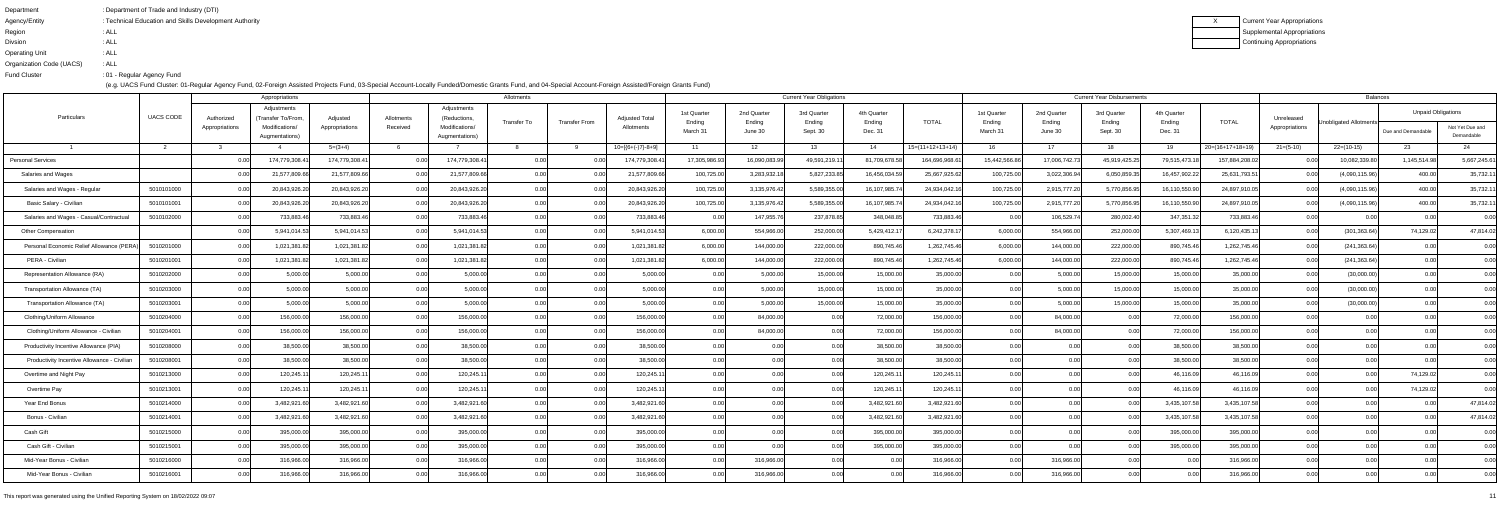| Department               | : Department of Trade and Industry (DTI)               |
|--------------------------|--------------------------------------------------------|
| Agency/Entity            | : Technical Education and Skills Development Authority |
| Region                   | : ALL                                                  |
| <b>Divsion</b>           | : ALL                                                  |
| <b>Operating Unit</b>    | : ALL                                                  |
| Organization Code (UACS) | : ALL                                                  |
| <b>Fund Cluster</b>      | :01 - Regular Agency Fund                              |
|                          |                                                        |

|                                             |                  | Appropriations    |                                   |                |                |                                  | Allotments  |                      |                       |                       |                       | <b>Current Year Obligations</b> |                       |                    |                       |                       | <b>Current Year Disbursements</b> |                       |                    |                |                        | <b>Balances</b>           |                               |
|---------------------------------------------|------------------|-------------------|-----------------------------------|----------------|----------------|----------------------------------|-------------|----------------------|-----------------------|-----------------------|-----------------------|---------------------------------|-----------------------|--------------------|-----------------------|-----------------------|-----------------------------------|-----------------------|--------------------|----------------|------------------------|---------------------------|-------------------------------|
| Particulars                                 | <b>UACS CODE</b> | Authorize         | Adjustments<br>(Transfer To/From. | Adjusted       | Allotments     | Adjustments<br>(Reductions,      | Transfer To | <b>Transfer From</b> | <b>Adjusted Total</b> | 1st Quarter<br>Ending | 2nd Quarter<br>Ending | 3rd Quarter<br>Ending           | 4th Quarter<br>Ending | <b>TOTAL</b>       | 1st Quarter<br>Ending | 2nd Quarter<br>Ending | 3rd Quarter<br>Ending             | 4th Quarter<br>Ending | <b>TOTAL</b>       | Unreleased     | Unobligated Allotments | <b>Unpaid Obligations</b> |                               |
|                                             |                  | Appropriations    | Modifications/<br>Augmentations)  | Appropriations | Received       | Modifications/<br>Augmentations) |             |                      | Allotments            | March 31              | June 30               | Sept. 30                        | Dec. 31               |                    | March 3               | June 30               | Sept. 30                          | Dec. 31               |                    | Appropriations |                        | Due and Demandable        | Not Yet Due and<br>Demandable |
|                                             |                  |                   |                                   | $5=(3+4)$      |                |                                  |             |                      | $10=[(6+(-)7)-8+9]$   | 11                    | 12                    | 13 <sup>7</sup>                 | 14                    | $15=(11+12+13+14)$ | 16                    | 17                    | 18                                | 19                    | $20=(16+17+18+19)$ | $21=(5-10)$    | $22=(10-15)$           | 23                        | 24                            |
| <b>Personal Services</b>                    |                  |                   | 174,779,308.41                    | 174,779,308.41 |                | 174,779,308.4                    | 0.00        |                      | 174,779,308.4         | 17,305,986.93         | 16,090,083.9          | 49,591,219.1                    | 81,709,678.58         | 164,696,968.6      | 15,442,566.8          | 17,006,742.7          | 45,919,425.2                      | 79,515,473.1          | 157,884,208.02     | 0.OC           | 10,082,339.80          | 1,145,514.98              | 5,667,245.61                  |
| Salaries and Wages                          |                  |                   | 21,577,809.6                      | 21,577,809.66  | 0.0            | 21,577,809.6                     | 0.00        |                      | 21,577,809.6          | 100,725.0             | 3,283,932.            | 5,827,233.8                     | 16,456,034.           | 25,667,925.6       | 100,725.00            | 3,022,306.9           | 6,050,859.3                       | 16,457,902.22         | 25,631,793.5       |                | (4,090,115.96)         | 400.00                    | 35,732.11                     |
| Salaries and Wages - Regular                | 5010101000       | 0.00 <sub>l</sub> | 20,843,926.2                      | 20,843,926.20  | 0.00           | 20,843,926.2                     | 0.00        | 0.00                 | 20,843,926.20         | 100,725.00            | 3,135,976.42          | 5,589,355.00                    | 16,107,985.7          | 24,934,042.1       | 100,725.00            | 2,915,777.2           | 5,770,856.9                       | 16,110,550.90         | 24,897,910.05      | 0.00           | (4,090,115.96)         | 400.00                    | 35,732.11                     |
| Basic Salary - Civilian                     | 5010101001       |                   | 20,843,926.20                     | 20,843,926.20  |                | 20,843,926.2                     | 0.00        |                      | 20,843,926.20         | 100,725.00            | 3,135,976.42          | 5,589,355.0                     | 16,107,985.7          | 24,934,042.1       | 100,725.00            | 2,915,777.2           | 5,770,856.9                       | 16,110,550.90         | 24,897,910.05      | 0.OC           | (4,090,115.96)         | 400.00                    | 35,732.11                     |
| Salaries and Wages - Casual/Contractual     | 5010102000       |                   | 733,883.4                         | 733,883.4      | 0.00           | 733,883.4                        | 0.00        |                      | 733,883.4             | . റ റ                 | 147,955.7             | 237,878.8                       | 348,048.8             | 733,883.46         | 0.00                  | 106,529.7             | 280,002.40                        | 347,351.3             | 733,883.46         | 0.00           | 0.00                   |                           | 0.00                          |
| <b>Other Compensation</b>                   |                  |                   | 5,941,014.5                       | 5,941,014.53   | 0.00           | 5,941,014.5                      | 0.00        | _0.00l               | 5,941,014.53          | 6,000.00              | 554,966.0             | 252,000.00                      | 5,429,412.17          | 6,242,378.17       | 6,000.00              | 554,966.00            | 252,000.00                        | 5,307,469.1           | 6,120,435.13       | 0.00           | (301, 363.64)          | 74,129.02                 | 47,814.02                     |
| Personal Economic Relief Allowance (PER/    | 5010201000       | 0.00              | 1,021,381.82                      | 1,021,381.82   |                | 1,021,381.8                      | 0.00        |                      | 1,021,381.82          | 6,000.00              | 144,000.0             | 222,000.00                      | 890,745.46            | 1,262,745.46       | 6,000.00              | 144,000.00            | 222,000.00                        | 890,745.46            | 1,262,745.46       | 0.00           | (241, 363.64)          |                           | 0.00                          |
| PERA - Civilian                             | 5010201001       |                   | 1,021,381.8                       | 1,021,381.8    | 0.0            | 1,021,381.8                      | 0.00        |                      | 1,021,381.82          | 6,000.00              | 144,000.0             | 222,000.00                      | 890,745.46            | 1,262,745.46       | 6,000.00              | 144,000.0             | 222,000.0                         | 890,745.46            | 1,262,745.46       | 0.00           | (241, 363.64)          |                           | 0.00                          |
| Representation Allowance (RA)               | 5010202000       | 0.00 <sub>l</sub> | 5,000.00                          | 5,000.00       | 0.00           | 5,000.00                         | 0.00        | 0.00                 | 5,000.00              | 0.00                  | 5,000.00              | 15,000.00                       | 15,000.00             | 35,000.00          | 0.00                  | 5,000.00              | 15,000.00                         | 15,000.00             | 35,000.00          | 0.00           | (30,000.00)            | 0 U U                     | 0.00                          |
| Transportation Allowance (TA)               | 5010203000       | 0.001             | 5,000.00                          | 5,000.00       | 0 <sub>0</sub> | 5,000.0                          | 0.00        |                      | 5,000.00              | 0.00                  | 5,000.0               | 15,000.00                       | 15,000.00             | 35,000.00          | 0.00                  | 5,000.00              | 15,000.00                         | 15,000.00             | 35,000.00          | 0.00           | (30,000.00)            |                           | 0.00                          |
| Transportation Allowance (TA)               | 5010203001       |                   | 5,000.00                          | 5,000.00       |                | 5,000.0                          |             |                      | 5,000.00              |                       | 5,000.0               | 15,000.00                       | 15,000.00             | 35,000.00          | 0.00                  | 5,000.00              | 15,000.0                          | 15,000.00             | 35,000.00          | 0.00           | (30,000.00)            |                           | 0.00                          |
| Clothing/Uniform Allowance                  | 5010204000       | 0.00              | 156,000.0                         | 156,000.0      | 0.00           | 156,000.0                        | 0.00        | 0.00                 | 156,000.00            | 0.00                  | 84,000.0              | 0.00                            | 72,000.00             | 156,000.00         | 0.00                  | 84,000.00             | 0.00                              | 72,000.00             | 156,000.00         | 0.00           | 0.00                   |                           | 0.00                          |
| Clothing/Uniform Allowance - Civilian       | 5010204001       |                   | 156,000.00                        | 156,000.00     |                | 156,000.00                       |             |                      | 156,000.00            |                       | 84,000.0              | 0.00                            | 72,000.00             | 156,000.00         | 0.00                  | 84,000.00             | 0.00                              | 72,000.00             | 156,000.00         | 0.00           | 0.00                   |                           | 0.00                          |
| Productivity Incentive Allowance (PIA)      | 5010208000       | n nr              | 38,500.0                          | 38,500.00      | 0 <sub>0</sub> | 38,500.0                         | 0.00        |                      | 38,500.00             | 0.00                  |                       |                                 | 38,500.00             | 38,500.00          | 0.00                  |                       | 0.0                               | 38,500.00             | 38,500.00          |                | 0.00                   |                           | 0.00                          |
| Productivity Incentive Allowance - Civilian | 5010208001       | 0.00              | 38,500.00                         | 38,500.00      | 0.00           | 38,500.0                         | 0.00        | 0.00                 | 38,500.00             | 0.00                  | 0.00                  | 0.00                            | 38,500.00             | 38,500.00          | 0.00                  | 0.00                  | 0.00                              | 38,500.00             | 38,500.00          | 0.00           | 0.00                   |                           | 0.00                          |
| Overtime and Night Pay                      | 5010213000       | 0.001             | 120,245.1                         | 120,245.1      | 0.00           | 120,245.                         | 0.00        |                      | 120,245.1             | 0.00                  |                       |                                 | 120,245.1             | 120,245.11         | 0.00                  |                       | 0 <sub>0</sub>                    | 46,116.09             | 46,116.09          | 0.00           | 0.00                   | 74,129.02                 | 0.00                          |
| Overtime Pay                                | 5010213001       |                   | 120,245.1                         | 120,245.1      |                | 120,245.1                        | 0.00        |                      | 120,245.1             |                       |                       |                                 | 120,245.              | 120,245.11         | 0.00                  |                       |                                   | 46,116.0              | 46,116.09          |                |                        | 74,129.02                 | 0.00                          |
| Year End Bonus                              | 5010214000       | 0.00 <sub>l</sub> | 3,482,921.6                       | 3,482,921.60   | 0.00           | 3,482,921.6                      | 0.00        | 0.00                 | 3,482,921.60          | 0.00                  |                       | 0.00                            | 3,482,921.60          | 3,482,921.60       | 0.00                  | 0.00                  | 0.00                              | 3,435,107.58          | 3,435,107.58       | 0.00           | 0.00                   | n nr                      | 47,814.02                     |
| Bonus - Civilian                            | 5010214001       | 0.00              | 3,482,921.60                      | 3,482,921.60   | 0.001          | 3,482,921.60                     | 0.00        | _0.00l               | 3,482,921.60          | 0.00                  | 0.00                  | 0.00                            | 3,482,921.60          | 3,482,921.60       | 0.00                  |                       | 0.00                              | 3,435,107.58          | 3,435,107.58       | 0.00           | 0.00                   | 0.00                      | 47,814.02                     |
| Cash Gift                                   | 5010215000       | 0.00              | 395,000.00                        | 395,000.00     | 0.00           | 395,000.00                       | 0.00        | _0.00l               | 395,000.00            | 0.00                  |                       | 0.00                            | 395,000.00            | 395,000.00         | 0.00                  |                       | 0.00                              | 395,000.00            | 395,000.00         | 0.00           | 0.00                   |                           | 0.00                          |
| Cash Gift - Civilian                        | 5010215001       | 0.00              | 395,000.00                        | 395,000.00     | 0.00           | 395,000.00                       | 0.00        | 0.00                 | 395,000.00            | 0.00                  | 0.00                  | 0.00                            | 395,000.00            | 395,000.00         | 0.00                  | 0.00                  | 0.00                              | 395,000.00            | 395,000.00         | 0.00           | 0.00                   |                           | 0.00                          |
| Mid-Year Bonus - Civilian                   | 5010216000       | 0.00              | 316,966.00                        | 316,966.00     | 0.00           | 316,966.00                       | 0.00        | 0.001                | 316,966.00            | 0.00                  | 316,966.00            | 0.00                            | 0.O                   | 316,966.00         | 0.00                  | 316,966.00            | 0.00                              | 0.00                  | 316,966.00         | 0.00           | 0.00                   |                           | 0.00                          |
| Mid-Year Bonus - Civilian                   | 5010216001       | 0.00              | 316,966.00                        | 316,966.00     |                | 316,966.0                        | 0.00        | 0.00                 | 316,966.00            | 0.00                  | 316,966.00            | 0.00                            | 0.00                  | 316,966.00         | 0.00                  | 316,966.00            | 0.00                              | 0.00                  | 316,966.00         | 0.00           | 0.00                   |                           | 0.00                          |
|                                             |                  |                   |                                   |                |                |                                  |             |                      |                       |                       |                       |                                 |                       |                    |                       |                       |                                   |                       |                    |                |                        |                           |                               |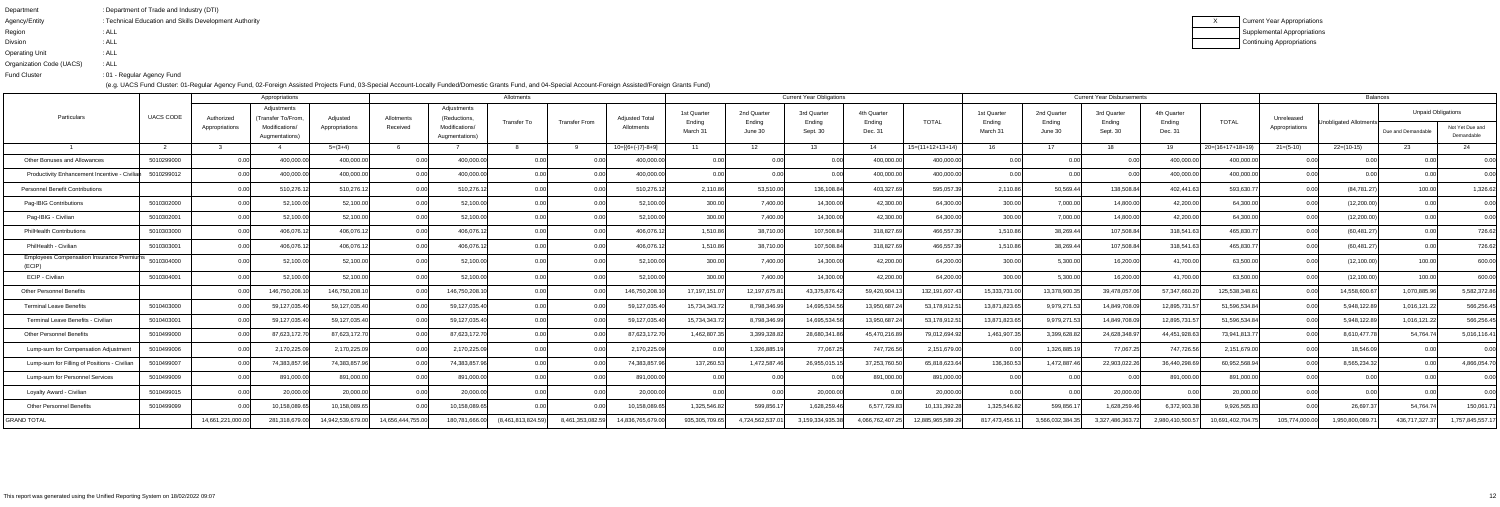| : Department of Trade and Industry (DTI)               |
|--------------------------------------------------------|
| : Technical Education and Skills Development Authority |
| : ALL                                                  |
| : ALL                                                  |
| : ALL                                                  |
| : ALL                                                  |
| :01 - Regular Agency Fund                              |
|                                                        |

|                                                     |                  |                              | Appropriations                                                        |                            |                        |                                                                | Allotments        |                      |                                     |                                   |                                  | <b>Current Year Obligations</b>   |                                  |                    |                                  |                                  | <b>Current Year Disbursements</b> |                                  |                    |                              | <b>Balances</b>        |                                                 |                               |
|-----------------------------------------------------|------------------|------------------------------|-----------------------------------------------------------------------|----------------------------|------------------------|----------------------------------------------------------------|-------------------|----------------------|-------------------------------------|-----------------------------------|----------------------------------|-----------------------------------|----------------------------------|--------------------|----------------------------------|----------------------------------|-----------------------------------|----------------------------------|--------------------|------------------------------|------------------------|-------------------------------------------------|-------------------------------|
| Particulars                                         | <b>UACS CODE</b> | Authorized<br>Appropriations | Adjustments<br>(Transfer To/From.<br>Modifications/<br>Augmentations) | Adjusted<br>Appropriations | Allotments<br>Received | Adjustments<br>(Reductions<br>Modifications/<br>Augmentations) | Transfer To       | <b>Transfer From</b> | <b>Adjusted Total</b><br>Allotments | 1st Quarter<br>Ending<br>March 31 | 2nd Quarter<br>Ending<br>June 30 | 3rd Quarter<br>Ending<br>Sept. 30 | 4th Quarter<br>Ending<br>Dec. 31 | <b>TOTAL</b>       | 1st Quarter<br>Ending<br>March 3 | 2nd Quarter<br>Ending<br>June 30 | 3rd Quarter<br>Ending<br>Sept. 30 | 4th Quarter<br>Ending<br>Dec. 31 | <b>TOTAL</b>       | Unreleased<br>Appropriations | Unobligated Allotments | <b>Unpaid Obligations</b><br>Due and Demandable | Not Yet Due and<br>Demandable |
|                                                     |                  |                              |                                                                       | $5=(3+4)$                  |                        |                                                                |                   |                      | $10=[(6+(-7)-8+9]$                  | 11                                | 12                               | 13                                | 14                               | $15=(11+12+13+14)$ | 16                               | 17 <sub>1</sub>                  | 18                                | - 19                             | $20=(16+17+18+19)$ | $21 = (5-10)$                | $22=(10-15)$           | 23                                              | 24                            |
| Other Bonuses and Allowances                        | 5010299000       | 0.00                         | 400,000.00                                                            | 400,000.00                 | 0.00                   | 400,000.0                                                      |                   |                      | 400,000.0                           | 0.00                              | 0.00                             |                                   | 400,000.0                        | 400,000.00         | 0.00                             | 0.00                             | 0.00                              | 400,000.0                        | 400,000.00         | 0.00                         | 0.00                   | 0.00                                            | 0.00                          |
| Productivity Enhancement Incentive - Civilian       | 5010299012       |                              | 400,000.00                                                            | 400,000.00                 | 0.00                   | 400,000.0                                                      |                   |                      | 400,000.00                          | 0.00                              | 0.00                             |                                   | 400,000.00                       | 400,000.00         | 0.00                             | 0.00                             | 0.00                              | 400,000.00                       | 400,000.00         | 0.00                         | 0.00                   | 0.00                                            | 0.00                          |
| <b>Personnel Benefit Contributions</b>              |                  |                              | 510,276.1                                                             | 510,276.12                 | 0.00 <sub>l</sub>      | 510,276.1                                                      | 0.00              |                      | 510,276.1                           | 2,110.86                          | 53,510.00                        | 136,108.8                         | 403,327.69                       | 595,057.39         | 2,110.86                         | 50,569.44                        | 138,508.84                        | 402,441.6                        | 593,630.77         | 0.00                         | (84, 781.27)           | 100.00                                          | 1,326.62                      |
| Pag-IBIG Contributions                              | 5010302000       | 0.00                         | 52,100.00                                                             | 52,100.00                  | 0.00                   | 52,100.0                                                       |                   | 0.00                 | 52,100.00                           | 300.00                            | 7,400.00                         | 14,300.0                          | 42,300.00                        | 64,300.00          | 300.00                           | 7,000.00                         | 14,800.00                         | 42,200.00                        | 64,300.00          | 0.00                         | (12,200.00)            | 0.00                                            | 0.00                          |
| Pag-IBIG - Civilian                                 | 5010302001       | 0.00                         | 52,100.00                                                             | 52,100.00                  | 0.00                   | 52,100.0                                                       | 0.00              |                      | 52,100.00                           | 300.00                            | 7,400.00                         | 14,300.0                          | 42,300.00                        | 64,300.00          | 300.00                           | 7,000.00                         | 14,800.00                         | 42,200.00                        | 64,300.00          | 0.00                         | (12,200.00)            | 0.00                                            | 0.00                          |
| PhilHealth Contributions                            | 5010303000       |                              | 406,076.12                                                            | 406,076.12                 | 0.00 <sub>l</sub>      | 406,076.1                                                      | 0.00              | 0.00                 | 406,076.1                           | 1,510.86                          | 38,710.00                        | 107,508.8                         | 318,827.69                       | 466,557.39         | 1,510.86                         | 38,269.44                        | 107,508.84                        | 318,541.63                       | 465,830.77         | 0.00                         | (60, 481.27)           | 0.00 <sub>l</sub>                               | 726.62                        |
| PhilHealth - Civilian                               | 5010303001       | 0.00                         | 406,076.12                                                            | 406,076.12                 | 0.00                   | 406,076.1                                                      |                   | 0.00                 | 406,076.1                           | 1,510.86                          | 38,710.00                        | 107,508.8                         | 318,827.69                       | 466,557.39         | 1,510.86                         | 38,269.44                        | 107,508.84                        | 318,541.6                        | 465,830.77         | 0.00                         | (60, 481.27)           | 0.00                                            | 726.62                        |
| Employees Compensation Insurance Premiums<br>(ECIP) | 5010304000       |                              | 52,100.00                                                             | 52,100.00                  | 0.00                   | 52,100.0                                                       |                   |                      | 52,100.00                           | 300.00                            | 7,400.00                         | 14,300.0                          | 42,200.00                        | 64,200.00          | 300.00                           | 5,300.00                         | 16,200.00                         | 41,700.00                        | 63,500.00          | 0.00                         | (12, 100.00)           | 100.00                                          | 600.00                        |
| ECIP - Civilian                                     | 5010304001       |                              | 52,100.00                                                             | 52,100.00                  | 0.00                   | 52,100.0                                                       | 0.00              | 0.00                 | 52,100.00                           | 300.00                            | 7,400.00                         | 14,300.0                          | 42,200.00                        | 64,200.00          | 300.00                           | 5,300.00                         | 16,200.00                         | 41,700.00                        | 63,500.00          | 0.00                         | (12, 100.00)           | 100.00                                          | 600.00                        |
| <b>Other Personnel Benefits</b>                     |                  |                              | 146,750,208.1                                                         | 146,750,208.1              | 0.00                   | 146,750,208.1                                                  |                   |                      | 146,750,208.                        | 17,197,151.0                      | 12,197,675.8                     | 43,375,876.42                     | 59,420,904.1                     | 132, 191, 607. 43  | 15,333,731.00                    | 13,378,900.3                     | 39,478,057.06                     | 57,347,660.2                     | 125,538,348.6      | 0.00                         | 14,558,600.67          | 1,070,885.96                                    | 5,582,372.86                  |
| Terminal Leave Benefits                             | 5010403000       |                              | 59,127,035.40                                                         | 59,127,035.40              | 0.001                  | 59,127,035.4                                                   | 0.00              |                      | 59,127,035.4                        | 15,734,343.                       | 8,798,346.99                     | 14,695,534.                       | 13,950,687.                      | 53,178,912.5       | 13,871,823.6                     | 9,979,271.53                     | 14,849,708.0                      | 12,895,731.5                     | 51,596,534.84      | 0.00                         | 5,948,122.8            | 1,016,121.22                                    | 566,256.45                    |
| Terminal Leave Benefits - Civilian                  | 5010403001       |                              | 59,127,035.40                                                         | 59,127,035.40              | 0.00 <sub>l</sub>      | 59,127,035.4                                                   | 0.00              | 0.00                 | 59,127,035.40                       | 15,734,343.7                      | 8,798,346.99                     | 14,695,534.5                      | 13,950,687.2                     | 53,178,912.5       | 13,871,823.65                    | 9,979,271.53                     | 14,849,708.09                     | 12,895,731.5                     | 51,596,534.84      | 0.00                         | 5,948,122.89           | 1,016,121.22                                    | 566,256.45                    |
| <b>Other Personnel Benefits</b>                     | 5010499000       |                              | 87,623,172.70                                                         | 87,623,172.70              | 0.00                   | 87,623,172.7                                                   | 0.00              |                      | 87,623,172.7                        | 1,462,807.3                       | 3,399,328.82                     | 28,680,341.                       | 45,470,216.89                    | 79,012,694.92      | 1,461,907.35                     | 3,399,628.82                     | 24,628,348.97                     | 44,451,928.63                    | 73,941,813.77      | 0.00                         | 8,610,477.78           | 54,764.74                                       | 5,016,116.41                  |
| Lump-sum for Compensation Adjustment                | 5010499006       | 0.00                         | 2,170,225.09                                                          | 2,170,225.09               | 0.00                   | 2,170,225.0                                                    | 0.00              | 0.00                 | 2,170,225.09                        | 0.00                              | 1,326,885.1                      | 77,067.2                          | 747,726.56                       | 2,151,679.00       | 0.00                             | 1,326,885.1                      | 77,067.25                         | 747,726.5                        | 2,151,679.00       | 0.00                         | 18,546.09              | 0.00                                            | 0.00                          |
| Lump-sum for Filling of Positions - Civilian        | 5010499007       |                              | 74,383,857.9                                                          | 74,383,857.9               | 0.00                   | 74,383,857.9                                                   | 0.00              | 0.00                 | 74,383,857.9                        | 137,260.53                        | 1,472,587.46                     | 26,955,015.1                      | 37,253,760.50                    | 65,818,623.64      | 136,360.53                       | 1,472,887.46                     | 22,903,022.26                     | 36,440,298.6                     | 60,952,568.94      | 0.00                         | 8,565,234.32           | 0.00                                            | 4,866,054.70                  |
| Lump-sum for Personnel Services                     | 5010499009       |                              | 891,000.00                                                            | 891,000.00                 | 0.00                   | 891,000.0                                                      | 0.00              |                      | 891,000.00                          | 0.00                              | 0.00                             |                                   | 891,000.00                       | 891,000.00         | 0.00                             | 0.00                             | 0.0                               | 891,000.00                       | 891,000.00         | 0.00                         | 0.00                   | 0.00                                            | 0.00                          |
| Loyalty Award - Civilian                            | 5010499015       | 0.00                         | 20,000.00                                                             | 20,000.00                  | 0.00                   | 20,000.0                                                       |                   |                      | 20,000.00                           | 0.00                              | 0.00                             | 20,000.0                          | 0.00                             | 20,000.00          | 0.00                             | 0.00                             | 20,000.00                         | 0.00                             | 20,000.00          | 0.00                         | 0.00                   | 0.00                                            | 0.00                          |
| <b>Other Personnel Benefits</b>                     | 5010499099       |                              | 10,158,089.65                                                         | 10,158,089.6               |                        | 10,158,089.6                                                   |                   |                      | 10,158,089.6                        | 1,325,546.82                      | 599,856.1                        | 1,628,259.4                       | 6,577,729.83                     | 10,131,392.28      | 1,325,546.82                     | 599,856.1                        | 1,628,259.46                      | 6,372,903.38                     | 9,926,565.83       | 0.00                         | 26,697.3               | 54,764.74                                       | 150,061.7                     |
| <b>GRAND TOTAL</b>                                  |                  | 14,661,221,000.00            | 281,318,679.00                                                        | 14,942,539,679.00          | 14,656,444,755.00      | 180,781,666.0                                                  | (8,461,813,824.59 | 8,461,353,082.59     | 14,836,765,679.00                   | 935,305,709.65                    | 4,724,562,537.                   | 3,159,334,935.3                   | 4,066,762,407.2                  | 12,885,965,589.29  | 817,473,456.1                    | 3,566,032,384.3                  | 3,327,486,363.7                   | 2,980,410,500.5                  | 10,691,402,704.7   | 105,774,000.00               | 1,950,800,089.7        | 436,717,327.                                    | 1,757,845,557.17              |